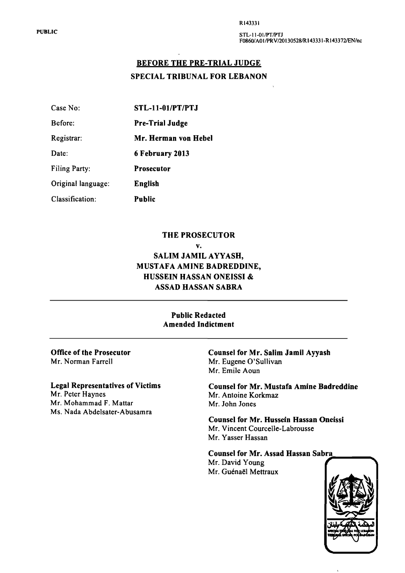PUBLIC

RI43331

STL-11-01/PT/PTJ F08601 AOIIPRV/201305281R 143331-R I 43372/EN/nc

# BEFORE THE PRE-TRIAL JUDGE SPECIAL TRIBUNAL FOR LEBANON

Case No: STL-II-Ol/PT/PTJ

Before: Pre-Trial Judge

Registrar: Mr. Herman von Hebel

Public

Date: 6 February 2013

Filing Party: Prosecutor

Original language: English

Classification:

#### THE PROSECUTOR

v.

## SALIM JAMIL AYYASH, MUSTAFA AMINE BADREDDINE, HUSSEIN HASSAN ONEISSI & ASSAD HASSAN SABRA

#### Public Redacted Amended Indictment

Office of the Prosecutor Mr. Norman Farrell

### Legal Representatives of Victims

Mr. Peter Haynes Mr. Mohammad F. Mattar Ms. Nada Abdelsater-Abusamra Counsel for Mr. Salim Jamil Ayyash Mr. Eugene O'Sullivan Mr. Emile Aoun

Counsel for Mr. Mustafa Amine Badreddine Mr. Antoine Korkmaz Mr. John Jones

Counsel for Mr. Hussein Hassan Oneissi Mr. Vincent Courcelle-Labrousse Mr. Yasser Hassan

#### Counsel for Mr. Assad Hassan Sabra

Mr. David Young Mr. Guénaël Mettraux

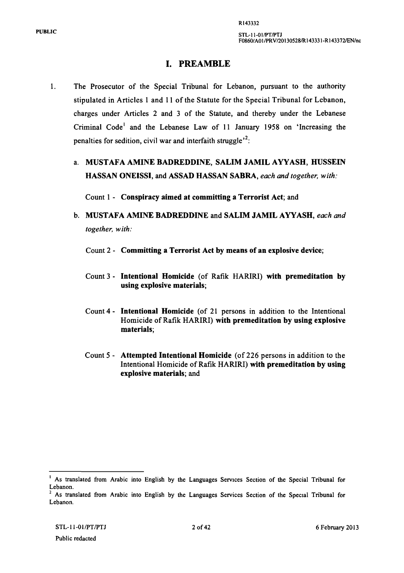## I. PREAMBLE

- 1. The Prosecutor of the Special Tribunal for Lebanon, pursuant to the authority stipulated in Articles 1 and 11 of the Statute for the Special Tribunal for Lebanon, charges under Articles 2 and 3 of the Statute, and thereby under the Lebanese Criminal Code' and the Lebanese Law of 11 January 1958 on 'Increasing the penalties for sedition, civil war and interfaith struggle $^{2}$ :
	- a. MUSTAFA AMINE BADREDDINE, SALIM JAMIL A YY ASH, HUSSEIN HASSAN ONEISSI, and ASSAD HASSAN SABRA, *each and together. with:*

Count 1 - Conspiracy aimed at committing a Terrorist Act; and

- b. MUSTAFA AMINE BADREDDINE and SALIM JAMIL A YY ASH, *each and together, with:* 
	- Count 2 Committing a Terrorist Act by means of an explosive device;
	- Count 3 Intentional Homicide (of Rafik HARIRI) with premeditation by using explosive materials;
	- Count 4 Intentional Homicide (of 21 persons in addition to the Intentional Homicide of Rafik HARIRI) with premeditation by using explosive materials;
	- Count 5 Attempted Intentional Homicide (of 226 persons in addition to the Intentional Homicide of Rafik HARIRI) with premeditation by using explosive materials; and

As translated from Arabic into English by the Languages Services Section of the Special Tribunal for Lebanon.

As translated from Arabic into English by the Languages Services Section of the Special Tribunal for Lebanon.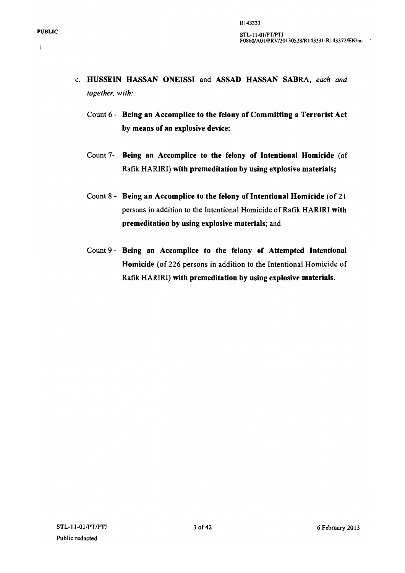$\overline{\mathcal{L}}$ 

- c. HUSSEIN HASSAN ONEISSI and ASSAD HASSAN SABRA, each and *together, with:* 
	- Count 6 Being an Accomplice to the felony of Committing a Terrorist Act by means of an explosive device;
	- Count 7- Being an Accomplice to the felony of Intentional Homicide (of Rafik HARlRI) with premeditation by using explosive materials;
	- Count 8 Being an Accomplice to the felony of Intentional Homicide (of 21 persons in addition to the Intentional Homicide of Rafik HARIRI with premeditation by using explosive materials; and
	- Count 9 Being an Accomplice to the felony of Attempted Intentional Homicide (of 226 persons in addition to the Intentional Homicide of Rafik HARlRl) with premeditation by using explosive materials.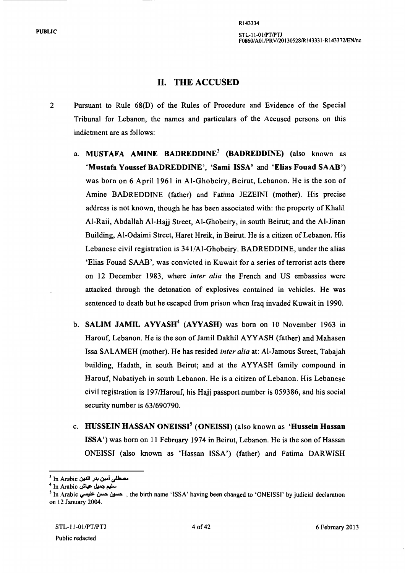## 11. THE ACCUSED

- 2 Pursuant to Rule 68(D) of the Rules of Procedure and Evidence of the Special Tribunal for Lebanon, the names and particulars of the Accused persons on this indictment are as follows:
	- a. MUSTAFA AMINE BADREDDINE<sup>3</sup> (BADREDDINE) (also known as 'Mustafa YoussefBADREDDINE', 'Sami ISSA' and 'Elias Fouad SAAB') was born on 6 April 1961 in AI-Ghobeiry, Beirut, Lebanon. He is the son of Amine BADREDDINE (father) and Fatima JEZEINI (mother). His precise address is not known, though he has been associated with: the property of Khalil AI-Raii, Abdallah AI-Hajj Street, AI-Ghobeiry, in south Beirut; and the AI-Jinan Building, AI-Odaimi Street, Haret Hreik, in Beirut. He is a citizen of Lebanon. His Lebanese civil registration is 341/AI-Ghobeiry. BADREDDINE, under the alias 'Elias Fouad SAAB', was convicted in Kuwait for a series of terrorist acts there on 12 December 1983, where *inter alia* the French and US embassies were attacked through the detonation of explosives contained in vehicles. He was sentenced to death but he escaped from prison when Iraq invaded Kuwait in 1990.
	- b. SALIM JAMIL AYYASH<sup>4</sup> (AYYASH) was born on 10 November 1963 in Harouf, Lebanon. He is the son of Jamil Dakhil A YY ASH (father) and Mahasen Issa SALAMEH (mother). He has resided *inter alia* at: AI-Jamous Street, Tabajah building, Hadath, in south Beirut; and at the AYYASH family compound in Harouf, Nabatiyeh in south Lebanon. He is a citizen of Lebanon. His Lebanese civil registration is 1971Harouf, his Hajj passport number is 059386, and his social security number is 63/690790.
	- c. HUSSEIN HASSAN ONEISSI<sup>5</sup> (ONEISSI) (also known as 'Hussein Hassan ISSA') was born on 11 February 1974 in Beirut, Lebanon. He is the son of Hassan ONEISSI (also known as 'Hassan ISSA') (father) and Fatima DARWISH

 $^3$  In Arabic مصطفى أمين بدر الدين

 $^4$  In Arabic سليم جميل عياش

<sup>&</sup>lt;sup>5</sup> In Arabic مسين حسن عنيسي , the birth name 'ISSA' having been changed to 'ONEISSI' by judicial declaration on 12 January 2004.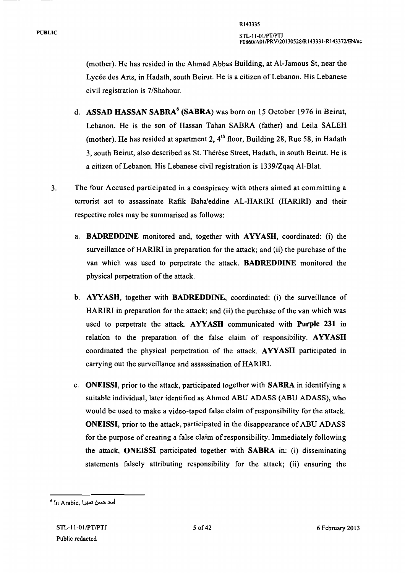(mother). He has resided in the Ahmad Abbas Building, at AI-Jamous St, near the Lycee des Arts, in Hadath, south Beirut. He is a citizen of Lebanon. His Lebanese civil registration is 7/Shahour.

- d. ASSAD HASSAN SABRA<sup>6</sup> (SABRA) was born on 15 October 1976 in Beirut, Lebanon. He is the son of Hassan Tahan SABRA (father) and Leila SALEH (mother). He has resided at apartment 2,  $4<sup>th</sup>$  floor, Building 28, Rue 58, in Hadath 3, south Beirut, also described as St. Thérèse Street, Hadath, in south Beirut. He is a citizen of Lebanon. His Lebanese civil registration is 1339/Zqaq AI-Blat.
- 3. The four Accused participated in a conspiracy with others aimed at committing a terrorist act to assassinate Raftk Baha'eddine AL-HARIRI (HARIRI) and their respective roles may be summarised as follows:
	- a. BADREDDINE monitored and, together with AYYASH, coordinated: (i) the surveillance of HARIRI in preparation for the attack; and (ii) the purchase of the van which was used to perpetrate the attack. BADREDDINE monitored the physical perpetration of the attack.
	- b. AYYASH, together with BADREDDINE, coordinated: (i) the surveillance of HARIRI in preparation for the attack; and (ii) the purchase of the van which was used to perpetrate the attack. AYYASH communicated with Purple 231 in relation to the preparation of the false claim of responsibility. AYYASH coordinated the physical perpetration of the attack. AYYASH participated in carrying out the surveillance and assassination of HARIRI.
	- c. ONEISSI, prior to the attack, participated together with SABRA in identifying a suitable individual, later identified as Ahmed ABU ADASS (ABU ADASS), who would be used to make a video-taped false claim of responsibility for the attack. ONEISSI, prior to the attack, participated in the disappearance of ABU ADASS for the purpose of creating a false claim of responsibility. Immediately following the attack, ONEISSI participated together with SA BRA in: (i) disseminating statements falsely attributing responsibility for the attack; (ii) ensuring the

 $^6$  In Arabic, اسد حسن صبرا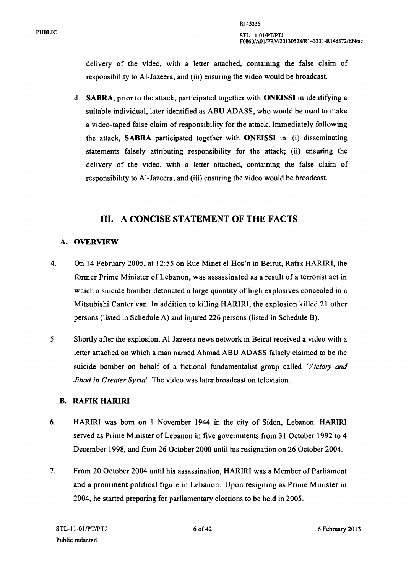delivery of the video, with a letter attached, containing the false claim of responsibility to AI-Jazeera; and (iii) ensuring the video would be broadcast.

d. SABRA, prior to the attack, participated together with ONEISSI in identifying a suitable individual, later identified as ABU ADASS, who would be used to make a video-taped false claim of responsibility for the attack. Immediately following the attack, SABRA participated together with ONEISSI in: (i) disseminating statements falsely attributing responsibility for the attack; (ii) ensuring the delivery of the video, with a letter attached, containing the false claim of responsibility to AI-Jazeera; and (iii) ensuring the video would be broadcast.

## Ill. A CONCISE STATEMENT OF THE FACTS

## A. OVERVIEW

- 4. On 14 February 2005, at 12:55 on Rue Minet el Hos'n in Beirut, Rafik HARIRI, the former Prime Minister of Lebanon, was assassinated as a result of a terrorist act in which a suicide bomber detonated a large quantity of high explosives concealed in a Mitsubishi Canter van. In addition to killing HARIRI, the explosion killed 21 other persons (listed in Schedule A) and injured 226 persons (listed in Schedule B).
- 5. Shortly after the explosion, AI-Jazeera news network in Beirut received a video with a letter attached on which a man named Ahmad ABU ADASS falsely claimed to be the suicide bomber on behalf of a fictional fundamentalist group called *'Victory and Jihad in Greater Syria'.* The video was later broadcast on television.

### B. RAFIK HARIRI

- 6. HARIRI was born on I November 1944 in the city of Sidon, Lebanon. HARIRI served as Prime Minister of Lebanon in five governments from 31 October 1992 to 4 December 1998, and from 26 October 2000 until his resignation on 26 October 2004.
- 7. From 20 October 2004 until his assassination, HARIRI was a Member of Parliament and a prominent political figure in Lebanon. Upon resigning as Prime Minister in 2004, he started preparing for parliamentary elections to be held in 2005.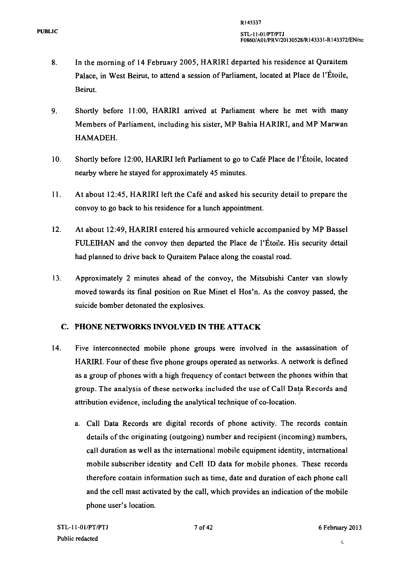- 8. In the morning of 14 February 2005, HARIRI departed his residence at Quraitem Palace, in West Beirut, to attend a session of Parliament, located at Place de l'Etoile, Beirut.
- 9. Shortly before 11:00, HARIRI arrived at Parliament where he met with many Members of Parliament, including his sister, MP Bahia HARIRI, and MP Marwan HAMADEH.
- 10. Shortly before 12:00, HARIRI left Parliament to go to Cafe Place de l'Etoile, located nearby where he stayed for approximately 45 minutes.
- 11. At about 12:45, HARIRI left the Cafe and asked his security detail to prepare the convoy to go back to his residence for a lunch appointment.
- 12. At about 12:49, HARIRI entered his armoured vehicle accompanied by MP Bassel FULEIHAN and the convoy then departed the Place de l'Etoile. His security detail had planned to drive back to Quraitem Palace along the coastal road.
- 13. Approximately 2 minutes ahead of the convoy, the Mitsubishi Canter van slowly moved towards its final position on Rue Minet el Hos'n. As the convoy passed, the suicide bomber detonated the explosives.

## C. PHONE NETWORKS INVOLVED IN THE ATTACK

- 14. Five interconnected mobile phone groups were involved in the assassination of HARIRI. Four of these five phone groups operated as networks. A network is defined as a group of phones with a high frequency of contact between the phones within that group. The analysis of these networks included the use of Call Data Records and attribution evidence, including the analytical technique of co-location.
	- a. Call Data Records are digital records of phone activity. The records contain details of the originating (outgoing) number and recipient (incoming) numbers, call duration as well as the international mobile equipment identity, international mobile subscriber identity and Cell ID data for mobile phones. These records therefore contain information such as time, date and duration of each phone call and the cell mast activated by the call, which provides an indication of the mobile phone user's location.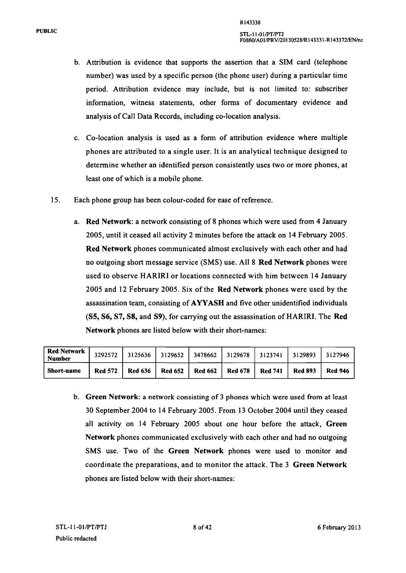- b. Attribution is evidence that supports the assertion that a SIM card (telephone number) was used by a specific person (the phone user) during a particular time period. Attribution evidence may include, but is not limited to: subscriber information, witness statements, other forms of documentary evidence and analysis of Call Data Records, including co-location analysis.
- c. Co-location analysis is used as a form of attribution evidence where multiple phones are attributed to a single user. It is an analytical technique designed to determine whether an identified person consistently uses two or more phones, at least one of which is a mobile phone.
- 15. Each phone group has been colour-coded for ease of reference.
	- a. Red Network: a network consisting of 8 phones which were used from 4 January 2005, until it ceased all activity 2 minutes before the attack on 14 February 2005. Red Network phones communicated almost exclusively with each other and had no outgoing short message service (SMS) use. All 8 Red Network phones were used to observe HARIRI or locations connected with him between 14 January 2005 and 12 February 2005. Six of the Red Network phones were used by the assassination team, consisting of AYYASH and five other unidentified individuals (S5, S6, S7, S8, and S9), for carrying out the assassination of HARIRI. The Red Network phones are listed below with their short-names:

| Red Network<br><b>Number</b> | 3292572        | 3125636        | 3129652        | 3478662        | 3129678        | 3123741        | 3129893        | 3127946        |
|------------------------------|----------------|----------------|----------------|----------------|----------------|----------------|----------------|----------------|
| <b>Short-name</b>            | <b>Red 572</b> | <b>Red 636</b> | <b>Red 652</b> | <b>Red 662</b> | <b>Red 678</b> | <b>Red 741</b> | <b>Red 893</b> | <b>Red 946</b> |

b. Green Network: a network consisting of 3 phones which were used from at least 30 September 2004 to 14 February 2005. From 13 October 2004 until they ceased all activity on 14 February 2005 about one hour before the attack, Green Network phones communicated exclusively with each other and had no outgoing SMS use. Two of the Green Network phones were used to monitor and coordinate the preparations, and to monitor the attack. The 3 Green Network phones are listed below with their short-names: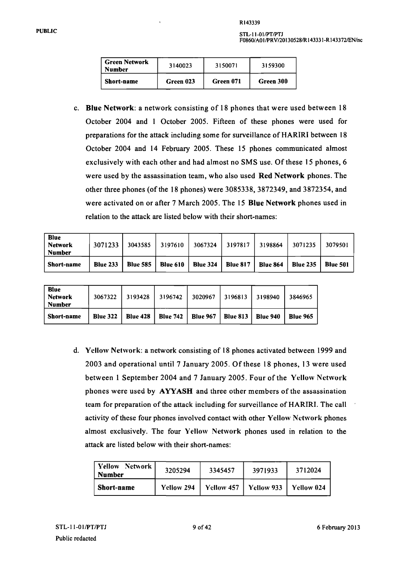#### STL-11-01/PT/PTJ F0860/A01/PRV/20130528/R143331-R143372/EN/nc

| <b>Green Network</b><br><b>Number</b> | 3140023   | 3150071   | 3159300   |
|---------------------------------------|-----------|-----------|-----------|
| <b>Short-name</b>                     | Green 023 | Green 071 | Green 300 |

c. Blue Network: a network consisting of 18 phones that were used between 18 October 2004 and 1 October 2005. Fifteen of these phones were used for preparations for the attack including some for surveillance of HARIRI between 18 October 2004 and 14 February 2005. These 15 phones communicated almost exclusively with each other and had almost no SMS use. Of these 15 phones, 6 were used by the assassination team, who also used Red Network phones. The other three phones (of the 18 phones) were 3085338, 3872349, and 3872354, and were activated on or after 7 March 2005. The 15 Blue Network phones used in relation to the attack are listed below with their short-names:

| Blue<br><b>Network</b><br><b>Number</b> | 3071233         | 3043585         | 3197610         | 3067324         | 3197817         | 3198864         | 3071235         | 3079501         |
|-----------------------------------------|-----------------|-----------------|-----------------|-----------------|-----------------|-----------------|-----------------|-----------------|
| <b>Short-name</b>                       | <b>Blue 233</b> | <b>Blue 585</b> | <b>Blue 610</b> | <b>Blue 324</b> | <b>Blue 817</b> | <b>Blue 864</b> | <b>Blue 235</b> | <b>Blue 501</b> |

| <b>Blue</b><br>Network<br>Number | 3067322 | 3193428                    | 3196742         | 3020967         | 3196813         | 3198940         | 3846965         |
|----------------------------------|---------|----------------------------|-----------------|-----------------|-----------------|-----------------|-----------------|
| <b>Short-name</b>                |         | <b>Blue 322   Blue 428</b> | <b>Blue 742</b> | <b>Blue 967</b> | <b>Blue 813</b> | <b>Blue 940</b> | <b>Blue 965</b> |

d. Yellow Network: a network consisting of 18 phones activated between 1999 and 2003 and operational until 7 January 2005. Of these 18 phones, 13 were used between 1 September 2004 and 7 January 2005. Four of the Yellow Network phones were used by AYYASH and three other members of the assassination team for preparation of the attack including for surveillance of HARIRI. The call activity of these four phones involved contact with other Yellow Network phones almost exclusively. The four Yellow Network phones used in relation to the attack are listed below with their short-names:

| Yellow Network<br><b>Number</b> | 3205294    | 3345457    | 3971933    | 3712024            |
|---------------------------------|------------|------------|------------|--------------------|
| <b>Short-name</b>               | Yellow 294 | Yellow 457 | Yellow 933 | $\perp$ Yellow 024 |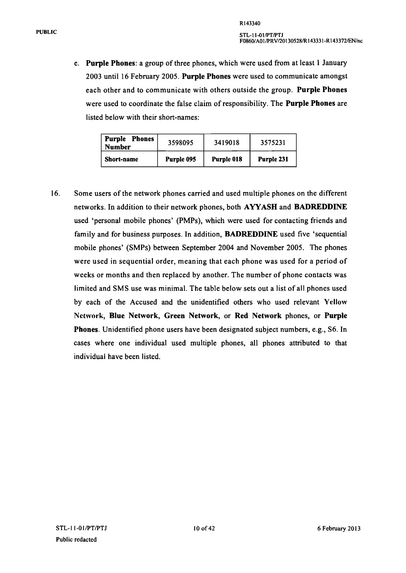e. Purple Phones: a group of three phones, which were used from at least 1 January 2003 until 16 February 2005. Purple Phones were used to communicate amongst each other and to communicate with others outside the group. Purple Phones were used to coordinate the false claim of responsibility. The Purple Phones are listed below with their short-names:

| <b>Purple Phones</b><br><b>Number</b> | 3598095    | 3419018    | 3575231    |
|---------------------------------------|------------|------------|------------|
| <b>Short-name</b>                     | Purple 095 | Purple 018 | Purple 231 |

16. Some users of the network phones carried and used mUltiple phones on the different networks. In addition to their network phones, both AYYASH and BADREDDINE used 'personal mobile phones' (PMPs), which were used for contacting friends and family and for business purposes. In addition, BADREDDINE used five 'sequential mobile phones' (SMPs) between September 2004 and November 2005. The phones were used in sequential order, meaning that each phone was used for a period of weeks or months and then replaced by another. The number of phone contacts was limited and SMS use was minimal. The table below sets out a list of all phones used by each of the Accused and the unidentified others who used relevant Yellow Network, Blue Network, Green Network, or Red Network phones, or Purple Phones. Unidentified phone users have been designated subject numbers, e.g., S6. In cases where one individual used multiple phones, all phones attributed to that individual have been listed.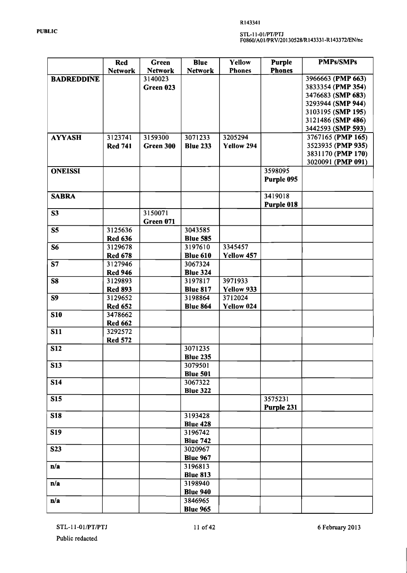#### STL-11-OIIPTIPTJ F0860/AOIIPRVl20130S281R 143331-R 143372lEN/nc

|                         | <b>Red</b>     | Green          | <b>Blue</b>     | Yellow        | <b>Purple</b> | <b>PMPs/SMPs</b>  |
|-------------------------|----------------|----------------|-----------------|---------------|---------------|-------------------|
|                         | <b>Network</b> | <b>Network</b> | <b>Network</b>  | <b>Phones</b> | <b>Phones</b> |                   |
| <b>BADREDDINE</b>       |                | 3140023        |                 |               |               | 3966663 (PMP 663) |
|                         |                | Green 023      |                 |               |               | 3833354 (PMP 354) |
|                         |                |                |                 |               |               | 3476683 (SMP 683) |
|                         |                |                |                 |               |               | 3293944 (SMP 944) |
|                         |                |                |                 |               |               | 3103195 (SMP 195) |
|                         |                |                |                 |               |               | 3121486 (SMP 486) |
|                         |                |                |                 |               |               | 3442593 (SMP 593) |
| <b>AYYASH</b>           | 3123741        | 3159300        | 3071233         | 3205294       |               | 3767165 (PMP 165) |
|                         | <b>Red 741</b> | Green 300      | <b>Blue 233</b> | Yellow 294    |               | 3523935 (PMP 935) |
|                         |                |                |                 |               |               | 3831170 (PMP 170) |
|                         |                |                |                 |               |               | 3020091 (PMP 091) |
| <b>ONEISSI</b>          |                |                |                 |               | 3598095       |                   |
|                         |                |                |                 |               | Purple 095    |                   |
|                         |                |                |                 |               |               |                   |
| <b>SABRA</b>            |                |                |                 |               | 3419018       |                   |
|                         |                |                |                 |               | Purple 018    |                   |
| S <sub>3</sub>          |                | 3150071        |                 |               |               |                   |
|                         |                | Green 071      |                 |               |               |                   |
| S <sub>5</sub>          | 3125636        |                | 3043585         |               |               |                   |
|                         | <b>Red 636</b> |                | <b>Blue 585</b> |               |               |                   |
| <b>S6</b>               | 3129678        |                | 3197610         | 3345457       |               |                   |
|                         | <b>Red 678</b> |                | <b>Blue 610</b> | Yellow 457    |               |                   |
| $\overline{\mathbf{s}}$ | 3127946        |                | 3067324         |               |               |                   |
|                         | <b>Red 946</b> |                | <b>Blue 324</b> |               |               |                   |
| <b>S8</b>               | 3129893        |                | 3197817         | 3971933       |               |                   |
|                         | <b>Red 893</b> |                | <b>Blue 817</b> | Yellow 933    |               |                   |
| S <sub>9</sub>          | 3129652        |                | 3198864         | 3712024       |               |                   |
|                         | <b>Red 652</b> |                | <b>Blue 864</b> | Yellow 024    |               |                   |
| <b>S10</b>              | 3478662        |                |                 |               |               |                   |
|                         | <b>Red 662</b> |                |                 |               |               |                   |
| <b>S11</b>              | 3292572        |                |                 |               |               |                   |
|                         | <b>Red 572</b> |                |                 |               |               |                   |
| <b>S12</b>              |                |                | 3071235         |               |               |                   |
|                         |                |                | <b>Blue 235</b> |               |               |                   |
| S <sub>13</sub>         |                |                | 3079501         |               |               |                   |
|                         |                |                | <b>Blue 501</b> |               |               |                   |
| <b>S14</b>              |                |                | 3067322         |               |               |                   |
|                         |                |                | <b>Blue 322</b> |               |               |                   |
| $\overline{S15}$        |                |                |                 |               | 3575231       |                   |
|                         |                |                |                 |               | Purple 231    |                   |
| <b>S18</b>              |                |                | 3193428         |               |               |                   |
|                         |                |                | <b>Blue 428</b> |               |               |                   |
| <b>S19</b>              |                |                | 3196742         |               |               |                   |
|                         |                |                | <b>Blue 742</b> |               |               |                   |
| S <sub>23</sub>         |                |                | 3020967         |               |               |                   |
|                         |                |                | <b>Blue 967</b> |               |               |                   |
| n/a                     |                |                | 3196813         |               |               |                   |
|                         |                |                | <b>Blue 813</b> |               |               |                   |
| n/a                     |                |                | 3198940         |               |               |                   |
|                         |                |                | <b>Blue 940</b> |               |               |                   |
| n/a                     |                |                | 3846965         |               |               |                   |
|                         |                |                | <b>Blue 965</b> |               |               |                   |
|                         |                |                |                 |               |               |                   |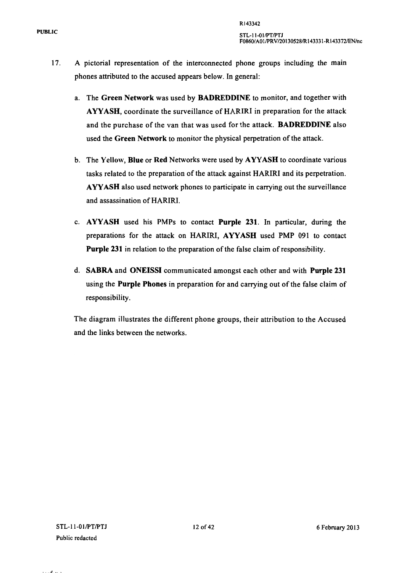- 17. A pictorial representation of the interconnected phone groups including the main phones attributed to the accused appears below. In general:
	- a. The Green Network was used by BADREDDINE to monitor, and together with AYYASH, coordinate the surveillance of HARIRI in preparation for the attack and the purchase of the van that was used for the attack. BADREDDINE also used the Green Network to monitor the physical perpetration of the attack.
	- b. The Yellow, Blue or Red Networks were used by AVYASH to coordinate various tasks related to the preparation of the attack against HARIRI and its perpetration. AYYASH also used network phones to participate in carrying out the surveillance and assassination of HARIRI.
	- c. AYYASH used his PMPs to contact Purple 231. In particular, during the preparations for the attack on HARIRI, AVYASH used PMP 091 to contact Purple 231 in relation to the preparation of the false claim of responsibility.
	- d. SABRA and ONEISSI communicated amongst each other and with Purple 231 using the Purple Phones in preparation for and carrying out of the false claim of responsibility.

The diagram illustrates the different phone groups, their attribution to the Accused and the links between the networks.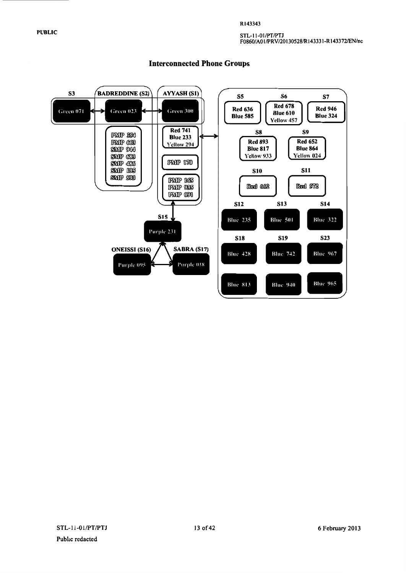#### STL-11-01/PT/PTJ F08601 AOIIPRV/201305281R 143331-RI43372/EN/nc



#### **Interconnected Phone Groups**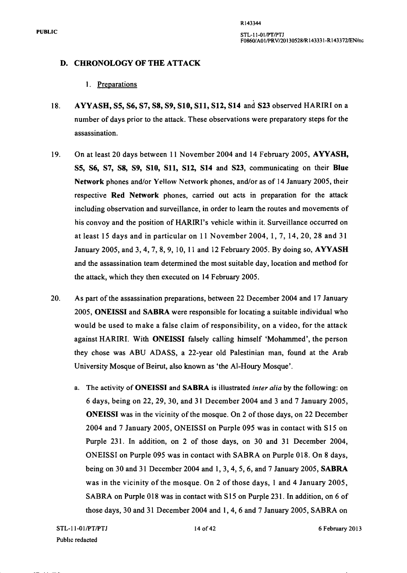#### D. CHRONOLOGY OF THE ATTACK

- I. Preparations
- 18. AYYASH, SS, S6, S7, S8, S9, S10, Sl1, S12, S14 and S23 observed HARIRI on a number of days prior to the attack. These observations were preparatory steps for the assassination.
- 19. On at least 20 days between 11 November 2004 and 14 February 2005, AYYASH, SS, S6, S7, S8, S9, S10, Sl1, S12, S14 and S23, communicating on their Blue Network phones and/or YelIow Network phones, and/or as of 14 January 2005, their respective Red Network phones, carried out acts in preparation for the attack including observation and surveillance, in order to learn the routes and movements of his convoy and the position of HARIRl's vehicle within it. Surveillance occurred on at least 15 days and in particular on 11 November 2004,1,7,14,20,28 and 31 January 2005, and 3, 4, 7, 8, 9, 10, 11 and 12 February 2005. By doing so, AYYASH and the assassination team determined the most suitable day, location and method for the attack, which they then executed on 14 February 2005.
- 20. As part of the assassination preparations, between 22 December 2004 and 17 January 2005, ONEISSI and SABRA were responsible for locating a suitable individual who would be used to make a false claim of responsibility, on a video, for the attack against HARIRI. With ONEISSI falsely calling himself 'Mohammed', the person they chose was ABU ADASS, a 22-year old Palestinian man, found at the Arab University Mosque of Beirut, also known as 'the AI-Houry Mosque'.
	- a. The activity of ONEISSI and SABRA is ilIustrated *inter alia* by the following: on 6 days, being on 22, 29, 30, and 31 December 2004 and 3 and 7 January 2005, ONEISSI was in the vicinity of the mosque. On 2 of those days, on 22 December 2004 and 7 January 2005, ONEISSI on Purple 095 was in contact with S 15 on Purple 231. In addition, on 2 of those days, on 30 and 31 December 2004, ONEISSI on Purple 095 was in contact with SABRA on Purple 018. On 8 days, being on 30 and 31 December 2004 and 1, 3, 4, 5, 6, and 7 January 2005, SABRA was in the vicinity of the mosque. On 2 of those days, 1 and 4 January 2005, SABRA on Purple 018 was in contact with S15 on Purple 231. In addition, on 6 of those days, 30 and 31 December 2004 and I, 4, 6 and 7 January 2005, SABRA on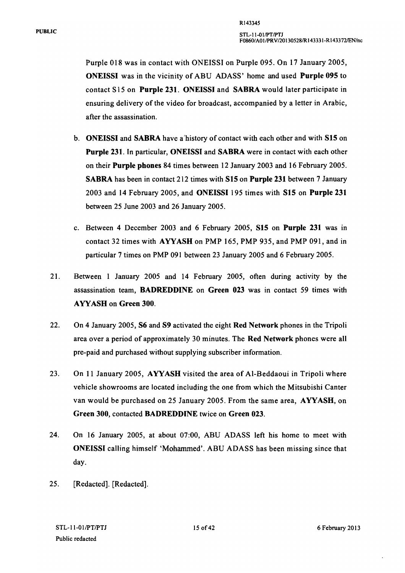Purple 018 was in contact with ONEISSI on Purple 095. On 17 January 2005, ONEISSI was in the vicinity of ABU ADASS' home and used Purple 095 to contact S 15 on Purple 231. ONEISSI and SABRA would later participate in ensuring delivery of the video for broadcast, accompanied by a letter in Arabic, after the assassination.

- b. ONEISSI and SABRA have a'history of contact with each other and with S15 on Purple 231. In particular, ONEISSI and SABRA were in contact with each other on their Purple phones 84 times between 12 January 2003 and 16 February 2005. SABRA has been in contact 212 times with S15 on Purple 231 between 7 January 2003 and 14 February 2005, and ONEISSI 195 times with S15 on Purple 231 between 25 June 2003 and 26 January 2005.
- c. Between 4 December 2003 and 6 February 2005, S15 on Purple 231 was in contact 32 times with AVYASH on PMP 165, PMP 935, and PMP 091, and in particular 7 times on PMP 091 between 23 January 2005 and 6 February 2005.
- 21. Between 1 January 2005 and 14 February 2005, often during activity by the assassination team, BADREDDINE on Green 023 was in contact 59 times with AVYASH on Green 300.
- 22. On 4 January 2005, S6 and S9 activated the eight Red Network phones in the Tripoli area over a period of approximately 30 minutes. The Red Network phones were all pre-paid and purchased without supplying subscriber information.
- 23. On 11 January 2005, AVYASH visited the area of Al-Beddaoui in Tripoli where vehicle showrooms are located including the one from which the Mitsubishi Canter van would be purchased on 25 January 2005. From the same area, AVYASH, on Green 300, contacted BADREDDINE twice on Green 023.
- 24. On 16 January 2005, at about 07:00, ABU ADASS left his home to meet with ONEISSI calling himself 'Mohammed'. ABU ADASS has been missing since that day.
- 25. [Redacted]. [Redacted].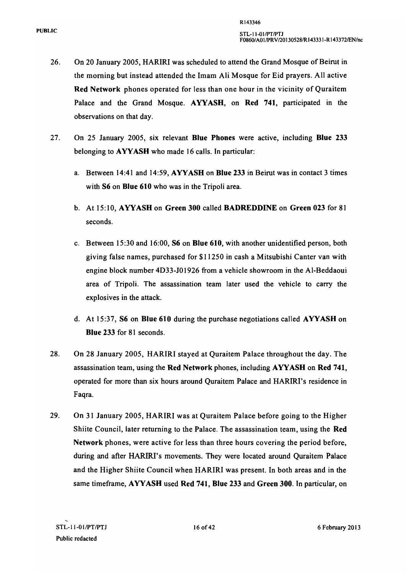- 26. On 20 January 2005, HARIRI was scheduled to attend the Grand Mosque of Beirut in the morning but instead attended the Imam Ali Mosque for Eid prayers. All active Red Network phones operated for less than one hour in the vicinity of Quraitem Palace and the Grand Mosque. AVYASH, on Red 741, participated in the observations on that day.
- 27. On 25 January 2005, six relevant Blue Phones were active, including Blue 233 belonging to AYYASH who made 16 calls. In particular:
	- a. Between 14:41 and 14:59, AVYASH on Blue 233 in Beirut was in contact 3 times with S6 on Blue 610 who was in the Tripoli area.
	- b. At 15:10, AVYASH on Green 300 called BADREDDINE on Green 023 for 81 seconds.
	- c. Between 15:30 and 16:00, S6 on Blue 610, with another unidentified person, both giving false names, purchased for \$11250 in cash a Mitsubishi Canter van with engine block number 4D33-JOI926 from a vehicle showroom in the AI-Beddaoui area of Tripoli. The assassination team later used the vehicle to carry the explosives in the attack.
	- d. At  $15:37$ , S6 on Blue 610 during the purchase negotiations called AYYASH on Blue 233 for 81 seconds.
- 28. On 28 January 2005, HARIRI stayed at Quraitem Palace throughout the day. The assassination team, using the Red Network phones, including AVYASH on Red 741, operated for more than six hours around Quraitem Palace and HARIRI's residence in Faqra.
- 29. On 31 January 2005, HARIRI was at Quraitem Palace before going to the Higher Shiite Council, later returning to the Palace. The assassination team, using the Red Network phones, were active for less than three hours covering the period before, during and after HARIRI's movements. They were located around Quraitem Palace and the Higher Shiite Council when HARIRI was present. In both areas and in the same timeframe, AYYASH used Red 741, Blue 233 and Green 300. In particular, on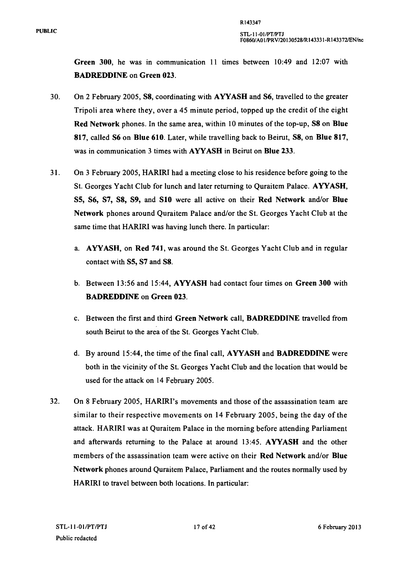Green 300, he was in communication 11 times between 10:49 and 12:07 with BADREDDINE on Green 023.

- 30. On 2 February 2005, S8, coordinating with AVYASH and S6, travelled to the greater Tripoli area where they, over a 45 minute period, topped up the credit of the eight Red Network phones. In the same area, within 10 minutes of the top-up, S8 on Blue 817, called S6 on Blue 610. Later, while travelling back to Beirut, S8, on Blue 817, was in communication 3 times with **AYYASH** in Beirut on **Blue 233**.
- 31. On 3 February 2005, HARIRI had a meeting close to his residence before going to the St. Georges Yacht Club for lunch and later returning to Quraitem Palace. AYYASH, SS, S6, S7, S8, S9, and S10 were all active on their Red Network and/or Blue Network phones around Quraitem Palace and/or the St. Georges Yacht Club at the same time that HARIRI was having lunch there. In particular:
	- a. AVYASH, on Red 741, was around the St. Georges Yacht Club and in regular contact with SS, S7 and S8.
	- b. Between 13:56 and 15:44, AVYASH had contact four times on Green 300 with BADREDDINE on Green 023.
	- c. Between the first and third Green Network call, BADREDDINE travelled from south Beirut to the area of the St. Georges Yacht Club.
	- d. By around 15:44, the time of the final call, AVYASH and BADREDDINE were both in the vicinity of the St. Georges Yacht Club and the location that would be used for the attack on 14 February 2005.
- 32. On 8 February 2005, HARIRl's movements and those of the assassination team are similar to their respective movements on 14 February 2005, being the day of the attack. HARIRI was at Quraitem Palace in the morning before attending Parliament and afterwards returning to the Palace at around 13:45. AVYASH and the other members of the assassination team were active on their Red Network and/or Blue Network phones around Quraitem Palace, Parliament and the routes normally used by HARIRI to travel between both locations. In particular: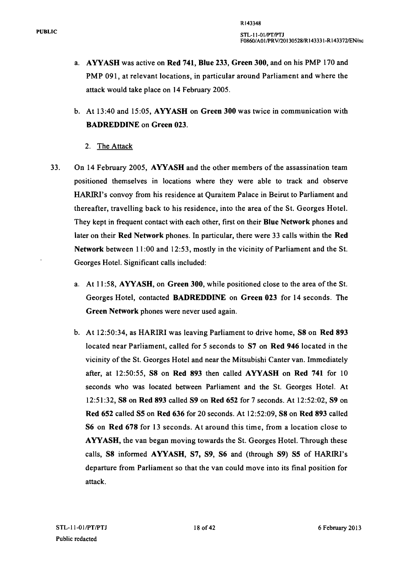- a. AYYASH was active on Red 741, Blue 233, Green 300, and on his PMP 170 and PMP 091, at relevant locations, in particular around Parliament and where the attack would take place on 14 February 2005.
- b. At 13:40 and 15:05, AVYASH on Green 300 was twice in communication with BADREDDINE on Green 023.
	- 2. The Attack
- 33. On 14 February 2005, AVYASH and the other members of the assassination team positioned themselves in locations where they were able to track and observe HARIRI's convoy from his residence at Quraitem Palace in Beirut to Parliament and thereafter, travelling back to his residence, into the area of the St. Georges Hotel. They kept in frequent contact with each other, first on their Blue Network phones and later on their Red Network phones. In particular, there were 33 calls within the Red Network between 11:00 and 12:53, mostly in the vicinity of Parliament and the St. Georges Hotel. Significant calls included:
	- a. At 11:58, AYYASH, on Green 300, while positioned close to the area of the St. Georges Hotel, contacted BADREDDINE on Green 023 for 14 seconds. The Green Network phones were never used again.
	- b. At 12:50:34, as HARIRI was leaving Parliament to drive home, S8 on Red 893 located near Parliament, called for 5 seconds to S7 on Red 946 located in the vicinity of the St. Georges Hotel and near the Mitsubishi Canter van. Immediately after, at 12:50:55, S8 on Red 893 then called AVYASH on Red 741 for 10 seconds who was located between Parliament and the St. Georges Hotel. At 12:51 :32, S8 on Red 893 called S9 on Red 652 for 7 seconds. At 12:52:02, S9 on Red 652 called SS on Red 636 for 20 seconds. At 12:52:09, S8 on Red 893 called S6 on Red 678 for 13 seconds. At around this time, from a location close to AYYASH, the van began moving towards the St. Georges Hotel. Through these calls, S8 informed AVYASH, S7, S9, S6 and (through S9) SS of HARIRI's departure from Parliament so that the van could move into its final position for attack.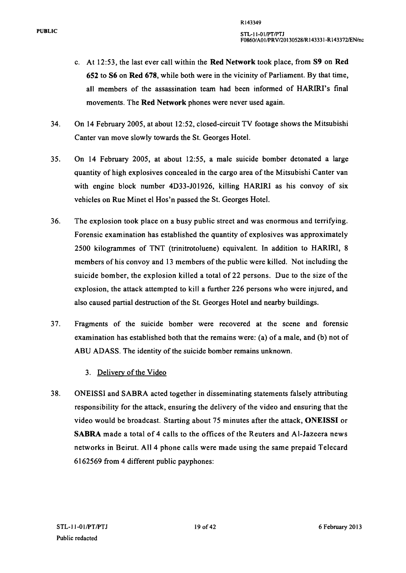- c. At 12:53, the last ever call within the Red Network took place, from S9 on Red 652 to S6 on Red 678, while both were in the vicinity of Parliament. By that time, all members of the assassination team had been informed of HARIRI's final movements. The Red Network phones were never used again.
- 34. On 14 February 2005, at about 12:52, closed-circuit TV footage shows the Mitsubishi Canter van move slowly towards the St. Georges Hotel.
- 35. On 14 February 2005, at about 12:55, a male suicide bomber detonated a large quantity of high explosives concealed in the cargo area of the Mitsubishi Canter van with engine block number 4D33-J01926, killing HARIRI as his convoy of six vehicles on Rue Minet el Hos'n passed the St. Georges Hotel.
- 36. The explosion took place on a busy public street and was enormous and terrifying. Forensic examination has established the quantity of explosives was approximately 2500 kilogrammes of TNT (trinitrotoluene) equivalent. In addition to HARIRI, 8 members of his convoy and 13 members of the public were killed. Not including the suicide bomber, the explosion killed a total of 22 persons. Due to the size of the explosion, the attack attempted to kill a further 226 persons who were injured, and also caused partial destruction of the St. Georges Hotel and nearby buildings.
- 37. Fragments of the suicide bomber were recovered at the scene and forensic examination has established both that the remains were: (a) of a male, and (b) not of ABU ADASS. The identity of the suicide bomber remains unknown.
	- 3. Deliverv of the Video
- 38. ONEISSI and SABRA acted together in disseminating statements falsely attributing responsibility for the attack, ensuring the delivery of the video and ensuring that the video would be broadcast. Starting about 75 minutes after the attack, ONEISSI or SABRA made a total of 4 calls to the offices of the Reuters and AI-Jazeera news networks in Beirut. All 4 phone calls were made using the same prepaid Telecard 6162569 from 4 different public payphones: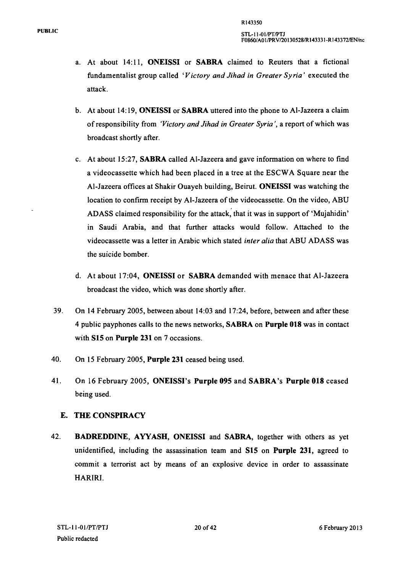- a. At about 14:11, ONEISSI or SABRA claimed to Reuters that a fictional fundamentalist group called *'Victory and Jihad in Greater Syria'* executed the attack.
- b. At about 14:19, ONEISSI or SABRA uttered into the phone to AI-Jazeera a claim of responsibility from *'Victory and Jihad in Greater Syria',* a report of which was broadcast shortly after.
- c. At about 15:27, SABRA called AI-Jazeera and gave information on where to find a videocassette which had been placed in a tree at the ESCW A Square near the AI-Jazeera offices at Shakir Ouayeh building, Beirut. ONEISSI was watching the location to confirm receipt by Al-Jazeera of the videocassette. On the video, ABU ADASS claimed responsibility for the attack, that it was in support of 'Mujahidin' in Saudi Arabia, and that further attacks would follow. Attached to the videocassette was a letter in Arabic which stated *inter alia* that ABU ADASS was the suicide bomber.
- d. At about 17:04, ONEISSIor SABRA demanded with menace that Al-Jazeera broadcast the video, which was done shortly after.
- 39. On 14 February 2005, between about 14:03 and 17:24, before, between and after these 4 public payphones calls to the news networks, SABRA on Purple 018 was in contact with S15 on Purple 231 on 7 occasions.
- 40. On 15 February 2005, Purple 231 ceased being used.
- 41. On 16 February 2005, ONEISSI's Purple 095 and SABRA's Purple 018 ceased being used.

### E. THE CONSPIRACY

42. BADREDDINE, AYYASH, ONEISSI and SABRA, together with others as yet unidentified, including the assassination team and S15 on Purple 231, agreed to commit a terrorist act by means of an explosive device in order to assassinate HARIRI.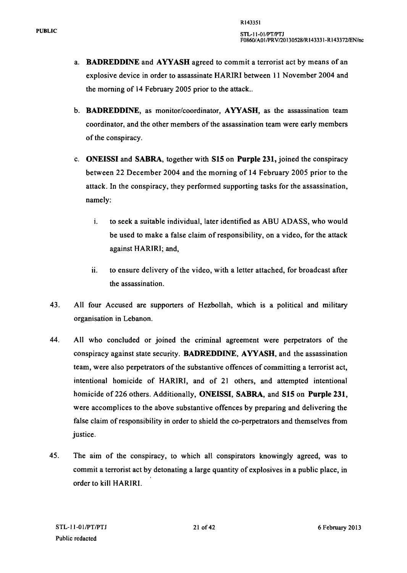- a. BADREDDINE and AYYASH agreed to commit a terrorist act by means of an explosive device in order to assassinate HARIRI between 11 November 2004 and the morning of 14 February 2005 prior to the attack ..
- b. **BADREDDINE**, as monitor/coordinator, AYYASH, as the assassination team coordinator, and the other members of the assassination team were early members of the conspiracy.
- c. ONEISSI and SABRA, together with S15 on Purple 231, joined the conspiracy between 22 December 2004 and the morning of 14 February 2005 prior to the attack. In the conspiracy, they performed supporting tasks for the assassination, namely:
	- i. to seek a suitable individual, later identified as ABU ADASS, who would be used to make a false claim of responsibility, on a video, for the attack against HARIRI; and,
	- ii. to ensure delivery of the video, with a letter attached, for broadcast after the assassination.
- 43. All four Accused are supporters of Hezbollah, which is a political and military organisation in Lebanon.
- 44. All who concluded or joined the criminal agreement were perpetrators of the conspiracy against state security. BADREDDINE, A YY ASH, and the assassination team, were also perpetrators of the substantive offences of committing a terrorist act, intentional homicide of HARIRI, and of 21 others, and attempted intentional homicide of 226 others. Additionally, ONEISSI, SABRA, and S15 on Purple 231, were accomplices to the above substantive offences by preparing and delivering the false claim of responsibility in order to shield the co-perpetrators and themselves from justice.
- 45. The aim of the conspiracy, to which all conspirators knowingly agreed, was to commit a terrorist act by detonating a large quantity of explosives in a public place, in order to kill HARIRI.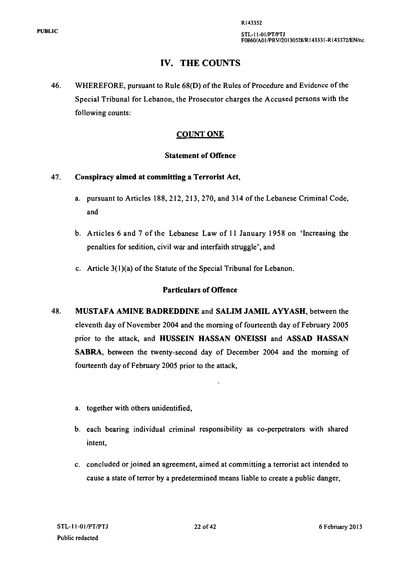# **IV. THE COUNTS**

46. WHEREFORE, pursuant to Rule 68(D) of the Rules of Procedure and Evidence of the Special Tribunal for Lebanon, the Prosecutor charges the Accused persons with the following counts:

### COUNT ONE

#### **Statement of Offence**

#### 47. **Conspiracy aimed at committing a Terrorist Act,**

- a. pursuant to Articles 188,212,213,270, and 314 of the Lebanese Criminal Code, and
- b. Articles 6 and 7 of the Lebanese Law of **11** January 1958 on 'Increasing the penalties for sedition, civil war and interfaith struggle', and
- c. Article 3(1)(a) of the Statute of the Special Tribunal for Lebanon.

#### **Particulars of Offence**

- 48. **MUSTAFA AMINE BADREDDINE** and **SALIM JAMIL AVYASH,** between the eleventh day of November 2004 and the morning of fourteenth day of February 2005 prior to the attack, and **HUSSEIN HASSAN ONEISSI** and **ASSAD HASSAN** SABRA, between the twenty-second day of December 2004 and the morning of fourteenth day of February 2005 prior to the attack,
	- a. together with others unidentified,
	- b. each bearing individual criminal responsibility as co-perpetrators with shared intent,
	- c. concluded or joined an agreement, aimed at committing a terrorist act intended to cause a state of terror by a predetermined means liable to create a public danger,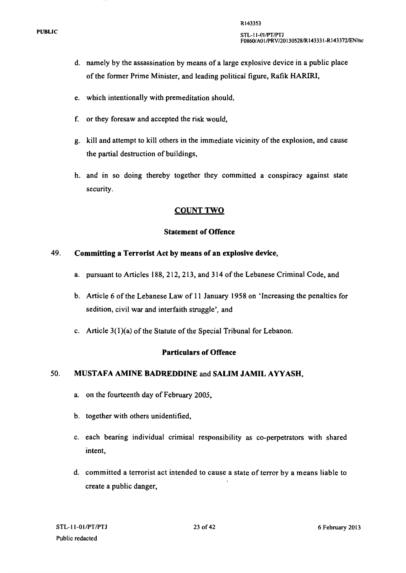- d. namely by the assassination by means of a large explosive device in a public place of the former Prime Minister, and leading political figure, Rafik HARIRI,
- e. which intentionally with premeditation should,
- f. or they foresaw and accepted the risk would,
- g. kill and attempt to kill others in the immediate vicinity of the explosion, and cause the partial destruction of buildings,
- h. and in so doing thereby together they committed a conspiracy against state security.

#### COUNT TWO

#### Statement of Offence

#### 49. Committing a Terrorist Act by means of an explosive device,

- a. pursuant to Articles 188, 212, 213, and 314 of the Lebanese Criminal Code, and
- b. Article 6 of the Lebanese Law of 11 January 1958 on 'Increasing the penalties for sedition, civil war and interfaith struggle', and
- c. Article 3(I)(a) of the Statute of the Special Tribunal for Lebanon.

#### Particulars of Offence

- a. on the fourteenth day of February 2005,
- b. together with others unidentified,
- c. each bearing individual criminal responsibility as co-perpetrators with shared intent,
- d. committed a terrorist act intended to cause a state of terror by a means liable to create a public danger,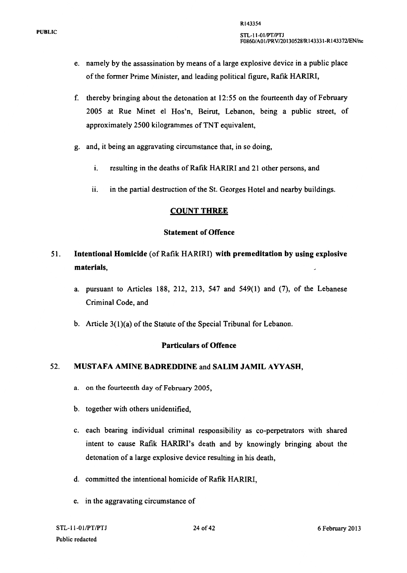- e. namely by the assassination by means of a large explosive device in a public place of the former Prime Minister, and leading political figure, Rafik HARIRI,
- f. thereby bringing about the detonation at 12:55 on the fourteenth day of February 2005 at Rue Minet el Hos'n, Beirut, Lebanon, being a public street, of approximately 2500 kilogrammes of TNT equivalent,
- g. and, it being an aggravating circumstance that, in so doing,
	- i. resulting in the deaths of Rafik HARIRI and 21 other persons, and
	- ii. in the partial destruction of the St. Georges Hotel and nearby buildings.

#### COUNT THREE

#### Statement of Offence

# 51. Intentional Homicide (of Rafik HARIRI) with premeditation by using explosive materials,

- a. pursuant to Articles 188, 212, 213, 547 and 549(1) and (7), of the Lebanese Criminal Code, and
- b. Article 3(l)(a) of the Statute of the Special Tribunal for Lebanon.

#### Particulars of Offence

- a. on the fourteenth day of February 2005,
- b. together with others unidentified,
- c. each bearing individual criminal responsibility as co-perpetrators with shared intent to cause Rafik HARIRI's death and by knowingly bringing about the detonation of a large explosive device resulting in his death,
- d. committed the intentional homicide of Rafik HARIRI,
- e. in the aggravating circumstance of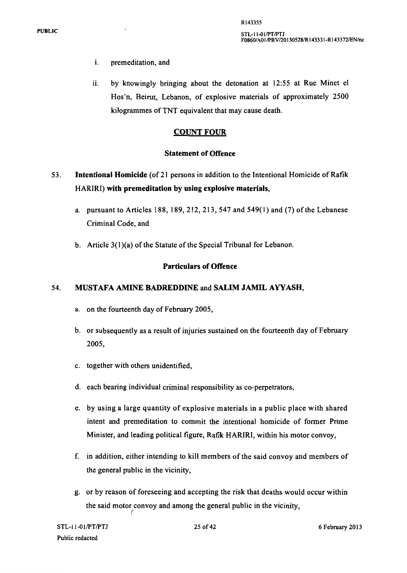Rl43355

- i. premeditation, and
- ii. by knowingly bringing about the detonation at 12:55 at Rue Minet el Hos'n, Beirut, Lebanon, of explosive materials of approximately 2500 kilogrammes of TNT equivalent that may cause death.

#### COUNT FOUR

#### Statement of Offence

- 53. Intentional Homicide (of21 persons in addition to the Intentional Homicide of Rafik HARIRI) with premeditation by using explosive materials,
	- a. pursuant to Articles 188, 189, 212, 213, 547 and 549(1) and (7) of the Lebanese Criminal Code, and
	- b. Article 3(1)(a) of the Statute of the Special Tribunal for Lebanon.

#### Particulars of Offence

- a. on the fourteenth day of February 2005,
- b. or subsequently as a result of injuries sustained on the fourteenth day of February 2005,
- c. together with others unidentified,
- d. each bearing individual criminal responsibility as co-perpetrators,
- e. by using a large quantity of explosive materials in a public place with shared intent and premeditation to commit the intentional homicide of former Prime Minister, and leading political figure, Rafik HARIRI, within his motor convoy,
- f. in addition, either intending to kill members of the said convoy and members of the general public in the vicinity,
- g. or by reason of foreseeing and accepting the risk that deaths would occur within the said motor convoy and among the general public in the vicinity, (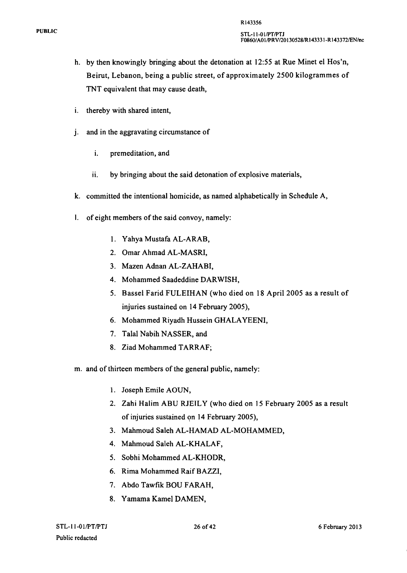- h. by then knowingly bringing about the detonation at 12:55 at Rue Minet el Hos'n, Beirut, Lebanon, being a public street, of approximately 2500 kilogrammes of TNT equivalent that may cause death,
- i. thereby with shared intent,
- j. and in the aggravating circumstance of
	- i. premeditation, and
	- ii. by bringing about the said detonation of explosive materials,
- k. committed the intentional homicide, as named alphabetically in Schedule A,
- 1. of eight members of the said convoy, namely:
	- 1. Yahya Mustafa AL-ARAB,
	- 2. Omar Ahmad AL-MASRI,
	- 3. Mazen Adnan AL-ZAHABI,
	- 4. Mohammed Saadeddine DAR WISH,
	- 5. Bassel Farid FULEIHAN (who died on 18 April 2005 as a result of injuries sustained on 14 February 2005),
	- 6. Mohammed Riyadh Hussein GHALA YEENI,
	- 7. Talal Nabih NASSER, and
	- 8. Ziad Mohammed TARRAF;
- m. and of thirteen members of the general public, namely:
	- 1. Joseph Emile AOUN,
	- 2. Zahi Halim ABU RJEILY (who died on 15 February 2005 as a result of injuries sustained on 14 February 2005),
	- 3. Mahmoud Saleh AL-HAMAD AL-MOHAMMED,
	- 4. Mahmoud Saleh AL-KHALAF,
	- 5. Sobhi Mohammed AL-KHODR,
	- 6. Rima Mohammed RaifBAZZI,
	- 7. Abdo Tawfik BOU FARAH,
	- 8. Yamama Kamel DAMEN,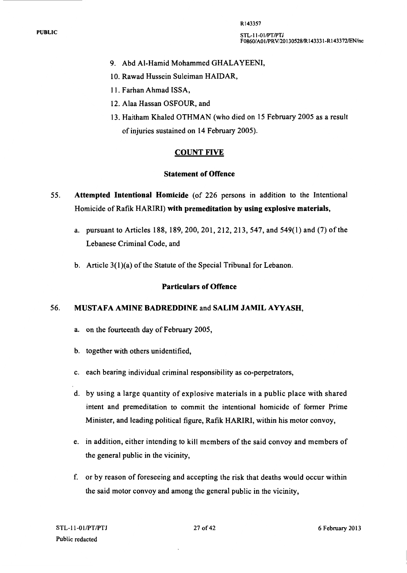Rl43357

- 9. Abd AI-Hamid Mohammed GHALA YEENI,
- 10. Rawad Hussein Suleiman HAIDAR,
- 11. Farhan Ahmad ISSA,
- 12. Alaa Hassan OSFOUR, and
- 13. Haitham Khaled OTHMAN (who died on 15 February 2005 as a result of injuries sustained on 14 February 2005).

## COUNT FIVE

#### Statement of Offence

- 55. Attempted Intentional Homicide (of 226 persons in addition to the Intentional Homicide of Rafik HARIRI) with premeditation by using explosive materials,
	- a. pursuant to Articles 188, 189,200,201,212,213,547, and 549(1) and (7) ofthe Lebanese Criminal Code, and
	- b. Article 3(1)(a) of the Statute of the Special Tribunal for Lebanon.

#### Particulars of Offence

- a. on the fourteenth day of February 2005,
- b. together with others unidentified,
- c. each bearing individual criminal responsibility as co-perpetrators,
- d. by using a large quantity of explosive materials in a public place with shared intent and premeditation to commit the intentional homicide of former Prime Minister, and leading political figure, Rafik HARIRI, within his motor convoy,
- e. in addition, either intending to kill members of the said convoy and members of the general public in the vicinity,
- f. or by reason of foreseeing and accepting the risk that deaths would occur within the said motor convoy and among the general public in the vicinity,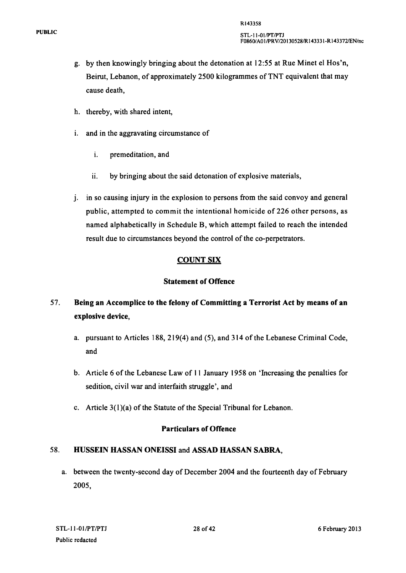- g. by then knowingly bringing about the detonation at 12:55 at Rue Minet el Hos'n, Beirut, Lebanon, of approximately 2500 kilogrammes of TNT equivalent that may cause death,
- h. thereby, with shared intent,
- 1. and in the aggravating circumstance of
	- i. premeditation, and
	- ii. by bringing about the said detonation of explosive materials,
- J. in so causing injury in the explosion to persons from the said convoy and general public, attempted to commit the intentional homicide of 226 other persons, as named alphabetically in Schedule B, which attempt failed to reach the intended result due to circumstances beyond the control of the co-perpetrators.

### COUNT SIX

#### Statement of Offence

# 57. Being an Accomplice to the felony of Committing a Terrorist Act by means of an explosive device,

- a. pursuant to Articles 188,219(4) and (5), and 314 of the Lebanese Criminal Code, and
- b. Article 6 of the Lebanese Law of 11 January 1958 on 'Increasing the penalties for sedition, civil war and interfaith struggle', and
- c. Article 3(l)(a) of the Statute of the Special Tribunal for Lebanon.

#### Particulars of Offence

### 58. HUSSEIN HASSAN ONEISSI and ASSAD HASSAN SABRA,

a. between the twenty-second day of December 2004 and the fourteenth day of February 2005,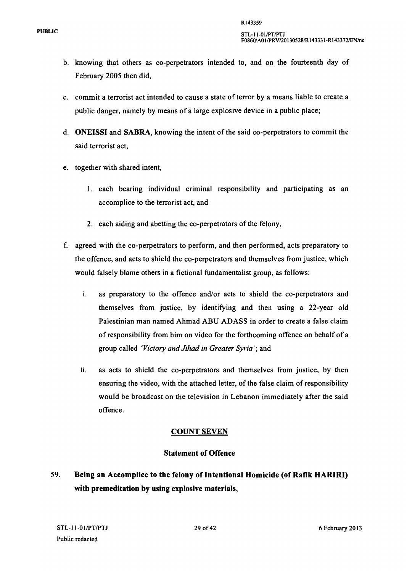- b. knowing that others as co-perpetrators intended to, and on the fourteenth day of February 2005 then did,
- c. commit a terrorist act intended to cause a state of terror by a means liable to create a public danger, namely by means of a large explosive device in a public place;
- d. ONEISSI and SABRA, knowing the intent of the said co-perpetrators to commit the said terrorist act,
- e. together with shared intent,
	- I. each bearing individual criminal responsibility and participating as an accomplice to the terrorist act, and
	- 2. each aiding and abetting the co-perpetrators of the felony,
- f. agreed with the co-perpetrators to perform, and then performed, acts preparatory to the offence, and acts to shield the co-perpetrators and themselves from justice, which would falsely blame others in a fictional fundamentalist group, as follows:
	- 1. as preparatory to the offence and/or acts to shield the co-perpetrators and themselves from justice, by identifying and then using a 22-year old Palestinian man named Ahmad ABU ADASS in order to create a false claim of responsibility from him on video for the forthcoming offence on behalf of a group called *'Victory and Jihad in Greater Syria* '; and
	- ii. as acts to shield the co-perpetrators and themselves from justice, by then ensuring the video, with the attached letter, of the false claim of responsibility would be broadcast on the television in Lebanon immediately after the said offence.

### COUNT SEVEN

#### Statement of Offence

# 59. Being an Accomplice to the felony of Intentional Homicide (of Rafik HARIRI) with premeditation by using explosive materials,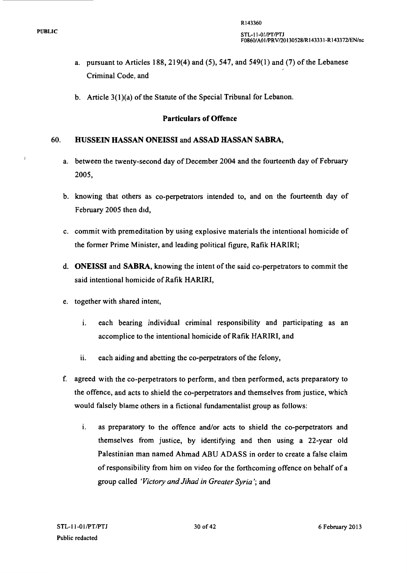- a. pursuant to Articles 188, 219(4) and  $(5)$ , 547, and 549(1) and  $(7)$  of the Lebanese Criminal Code, and
- b. Article 3(1)(a) of the Statute of the Special Tribunal for Lebanon.

#### Particulars of Offence

#### 60. HUSSEIN HASSAN ONEISSI and ASSAD HASSAN SABRA,

- a. between the twenty-second day of December 2004 and the fourteenth day of February 2005,
- b. knowing that others as co-perpetrators intended to, and on the fourteenth day of February 2005 then did,
- c. commit with premeditation by using explosive materials the intentional homicide of the former Prime Minister, and leading political figure, Rafik HARIRI;
- d. ONEISSI and SABRA, knowing the intent of the said co-perpetrators to commit the said intentional homicide of Rafik HARIRI,
- e. together with shared intent,
	- i. each bearing individual criminal responsibility and participating as an accomplice to the intentional homicide of Rafik HARIRI, and
	- ii. each aiding and abetting the co-perpetrators of the felony,
- f. agreed with the co-perpetrators to perform, and then performed, acts preparatory to the offence, and acts to shield the co-perpetrators and themselves from justice, which would falsely blame others in a fictional fundamentalist group as follows:
	- i. as preparatory to the offence and/or acts to shield the co-perpetrators and themselves from justice, by identifying and then using a 22-year old Palestinian man named Ahmad ABU ADASS in order to create a false claim of responsibility from him on video for the forthcoming offence on behalf of a group called *'Victory and Jihad in Greater Syria* '; and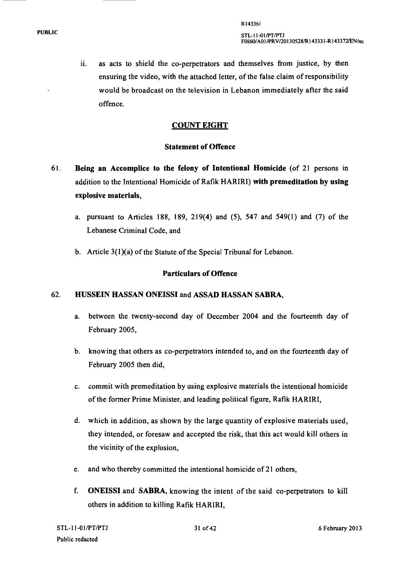ii. as acts to shield the co-perpetrators and themselves from justice, by then ensuring the video, with the attached letter, of the false claim of responsibility would be broadcast on the television in Lebanon immediately after the said offence.

#### COUNT EIGHT

#### Statement of Offence

- 6l. Being an Accomplice to the felony of Intentional Homicide (of 21 persons in addition to the Intentional Homicide of Rafik HARIRI) with premeditation by using explosive materials,
	- a. pursuant to Articles 188, 189, 219(4) and (5), 547 and 549(1) and (7) of the Lebanese Criminal Code, and
	- b. Article 3(1)(a) of the Statute of the Special Tribunal for Lebanon.

#### Particulars of Offence

#### 62. HUSSEIN HASSAN ONEISSI and ASSAD HASSAN SABRA,

- a. between the twenty-second day of December 2004 and the fourteenth day of February 2005,
- b. knowing that others as co-perpetrators intended to, and on the fourteenth day of February 2005 then did,
- c. commit with premeditation by using explosive materials the intentional homicide of the fonner Prime Minister, and leading political figure, Rafik HARIRI,
- d. which in addition, as shown by the large quantity of explosive materials used, they intended, or foresaw and accepted the risk, that this act would kill others in the vicinity of the explosion,
- e. and who thereby committed the intentional homicide of 21 others,
- f. ONEISSI and SABRA, knowing the intent of the said co-perpetrators to kill others in addition to killing Rafik HARIRI,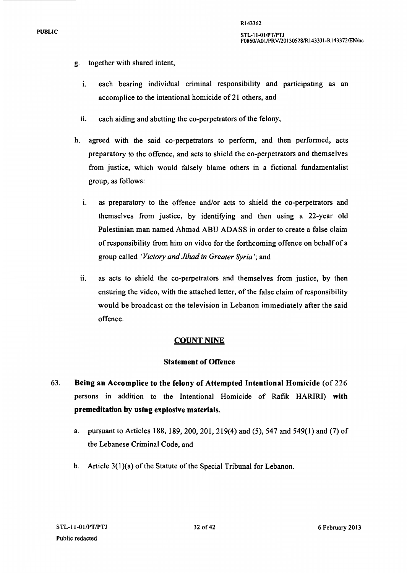- g. together with shared intent,
	- 1. each bearing individual criminal responsibility and participating as an accomplice to the intentional homicide of 21 others, and
	- ii. each aiding and abetting the co-perpetrators of the felony,
- h. agreed with the said co-perpetrators to perform, and then performed, acts preparatory to the offence, and acts to shield the co-perpetrators and themselves from justice, which would falsely blame others in a fictional fundamentalist group, as follows:
	- 1. as preparatory to the offence and/or acts to shield the co-perpetrators and themselves from justice, by identifying and then using a 22-year old Palestinian man named Ahmad ABU ADASS in order to create a false claim of responsibility from him on video for the forthcoming offence on behalf of a group called *'Victory and Jihad in Greater Syria';* and
	- ii. as acts to shield the co-perpetrators and themselves from justice, by then ensuring the video, with the attached letter, of the false claim of responsibility would be broadcast on the television in Lebanon immediately after the said offence.

### COUNT NINE

#### Statement of Offence

- 63. Being an Accomplice to the felony of Attempted Intentional Homicide (of 226 persons in addition to the Intentional Homicide of Rafik HARIRI) with premeditation by using explosive materials,
	- a. pursuant to Articles 188, 189,200,201,219(4) and (5),547 and 549(1) and (7) of the Lebanese Criminal Code, and
	- b. Article 3(1)(a) of the Statute of the Special Tribunal for Lebanon.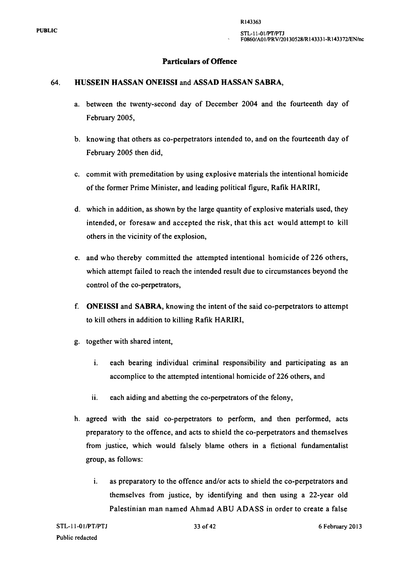#### Particulars of Offence

#### 64. HUSSEIN HASSAN ONEISSI and ASSAD HASSAN SABRA,

- a. between the twenty-second day of December 2004 and the fourteenth day of February 2005,
- b. knowing that others as co-perpetrators intended to, and on the fourteenth day of February 2005 then did,
- c. commit with premeditation by using explosive materials the intentional homicide of the former Prime Minister, and leading political figure, Rafik HARIRI,
- d. which in addition, as shown by the large quantity of explosive materials used, they intended, or foresaw and accepted the risk, that this act would attempt to kill others in the vicinity of the explosion,
- e. and who thereby committed the attempted intentional homicide of 226 others, which attempt failed to reach the intended result due to circumstances beyond the control of the co-perpetrators,
- f. ONEISSI and SABRA, knowing the intent of the said co-perpetrators to attempt to kill others in addition to killing Rafik HARIRI,
- g. together with shared intent,
	- i. each bearing individual criminal responsibility and participating as an accomplice to the attempted intentional homicide of 226 others, and
	- ii. each aiding and abetting the co-perpetrators of the felony,
- h. agreed with the said co-perpetrators to perform, and then performed, acts preparatory to the offence, and acts to shield the co-perpetrators and themselves from justice, which would falsely blame others in a fictional fundamentalist group, as follows:
	- 1. as preparatory to the offence and/or acts to shield the co-perpetrators and themselves from justice, by identifying and then using a 22-year old Palestinian man named Ahmad ABU ADASS in order to create a false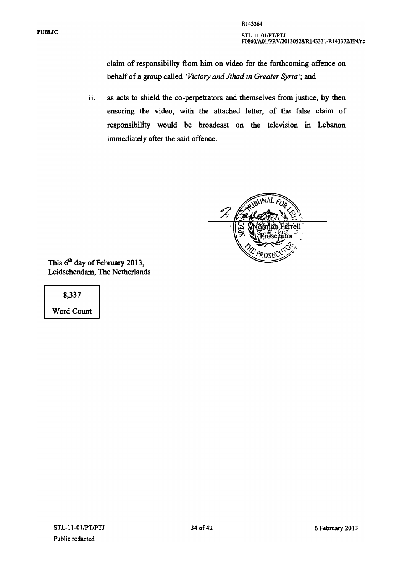STL-11-01/PT/PTJ F0860/A01/PRV/20130528/R143331-R143372/EN/nc

claim of responsibility from him on video for the forthcoming offence on behalf of a group called *'Victory and Jihad in Greater Syria* '; and

R143364

ii. as acts to shield the co-perpetrators and themselves from justice, by then ensuring the video, with the attached letter, of the false claim of responsibility would be broadcast on the television in Lebanon immediately after the said offence.

This  $6<sup>th</sup>$  day of February 2013, Leidschendam, The Netherlands

| 8,337      |  |  |  |  |
|------------|--|--|--|--|
| Word Count |  |  |  |  |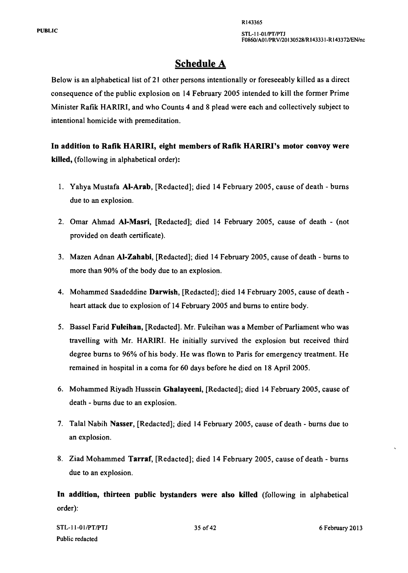# Schedule A

Below is an alphabetical list of 21 other persons intentionally or foreseeably killed as a direct consequence of the public explosion on 14 February 2005 intended to kill the fonner Prime Minister Rafik HARIRI, and who Counts 4 and 8 plead were each and collectively subject to intentional homicide with premeditation.

In addition to Rafik HARIRI, eight members of Rafik HARIRI's motor convoy were killed, (following in alphabetical order):

- 1. Yahya Mustafa AI-Arab, [Redacted]; died 14 February 2005, cause of death burns due to an explosion.
- 2. Omar Ahmad AI-Masri, [Redacted]; died 14 February 2005, cause of death (not provided on death certificate).
- 3. Mazen Adnan AI-Zahabi, [Redacted]; died 14 February 2005, cause of death burns to more than 90% of the body due to an explosion.
- 4. Mohammed Saadeddine Darwish, [Redacted]; died 14 February 2005, cause of deathheart attack due to explosion of 14 February 2005 and bums to entire body.
- 5. Bassel Farid Fuleihan, [Redacted]. Mr. Fuleihan was a Member of Parliament who was travelling with Mr. HARIRI. He initially survived the explosion but received third degree burns to 96% of his body. He was flown to Paris for emergency treatment. He remained in hospital in a coma for 60 days before he died on 18 April 2005.
- 6. Mohammed Riyadh Hussein Gbalayeeni, [Redacted]; died 14 February 2005, cause of death - bums due to an explosion.
- 7. Talal Nabih Nasser, [Redacted]; died 14 February 2005, cause of death bums due to an explosion.
- 8. Ziad Mohammed Tarraf, [Redacted]; died 14 February 2005, cause of death bums due to an explosion.

In addition, thirteen public bystanders were also killed (following in alphabetical order):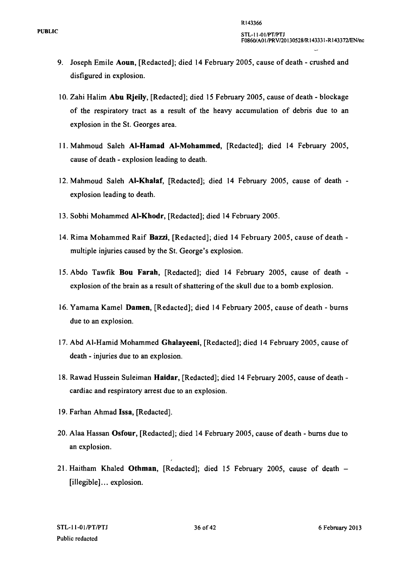- 9. Joseph Emile Aoun, [Redacted]; died 14 February 2005, cause of death crushed and disfigured in explosion.
- 10. Zahi Halim Abu Rjeily, [Redacted]; died 15 February 2005, cause of death blockage of the respiratory tract as a result of the heavy accumulation of debris due to an explosion in the St. Georges area.
- 11. Mahmoud Saleh Al-Hamad Al-Mohammed, [Redacted]; died 14 February 2005, cause of death - explosion leading to death.
- 12. Mahmoud Saleh AI-Khalaf, [Redacted]; died 14 February 2005, cause of death explosion leading to death.
- 13. Sobhi Mohammed AI-Khodr, [Redacted]; died 14 February 2005.
- 14. Rima Mohammed Raif Bazzi, [Redacted]; died 14 February 2005, cause of death multiple injuries caused by the St. George's explosion.
- 15. Abdo Tawfik Bou Farah, [Redacted]; died 14 February 2005, cause of death explosion of the brain as a result of shattering of the skull due to a bomb explosion.
- 16. Yamama Kamel Damen, [Redacted]; died 14 February 2005, cause of death bums due to an explosion.
- 17. Abd Al-Hamid Mohammed Ghalayeeni, [Redacted]; died 14 February 2005, cause of death - injuries due to an explosion.
- 18. Rawad Hussein Suleiman Haidar, [Redacted]; died 14 February 2005, cause of death cardiac and respiratory arrest due to an explosion.
- 19. Farhan Ahmad Issa, [Redacted].
- 20. Alaa Hassan Osfour, [Redacted]; died 14 February 2005, cause of death burns due to an explosion.
- 21. Haitham Khaled Othman, [Redacted]; died 15 February 2005, cause of death -[illegible] ... explosion.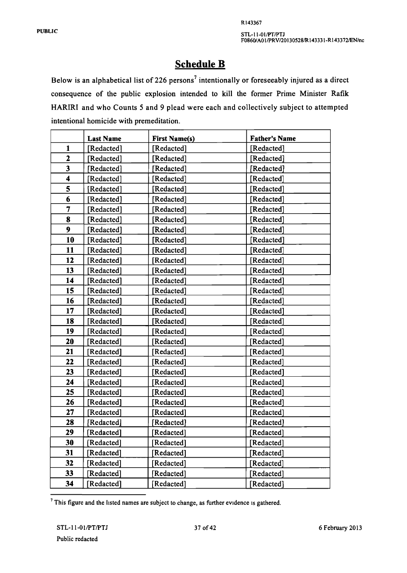# Schedule **B**

Below is an alphabetical list of 226 persons<sup>7</sup> intentionally or foreseeably injured as a direct consequence of the public explosion intended to kill the former Prime Minister Rafik HARIRI and who Counts 5 and 9 plead were each and collectively subject to attempted intentional homicide with premeditation.

|                         | <b>Last Name</b> | <b>First Name(s)</b> | <b>Father's Name</b> |
|-------------------------|------------------|----------------------|----------------------|
| $\mathbf{1}$            | [Redacted]       | [Redacted]           | [Redacted]           |
| $\overline{2}$          | [Redacted]       | [Redacted]           | [Redacted]           |
| 3                       | [Redacted]       | [Redacted]           | [Redacted]           |
| $\overline{\mathbf{4}}$ | Redacted]        | [Redacted]           | [Redacted]           |
| 5                       | [Redacted]       | [Redacted]           | [Redacted]           |
| 6                       | [Redacted]       | [Redacted]           | [Redacted]           |
| 7                       | [Redacted]       | [Redacted]           | [Redacted]           |
| 8                       | [Redacted]       | [Redacted]           | [Redacted]           |
| 9                       | [Redacted]       | [Redacted]           | [Redacted]           |
| 10                      | [Redacted]       | [Redacted]           | [Redacted]           |
| 11                      | [Redacted]       | [Redacted]           | [Redacted]           |
| 12                      | [Redacted]       | [Redacted]           | [Redacted]           |
| 13                      | [Redacted]       | [Redacted]           | [Redacted]           |
| 14                      | [Redacted]       | [Redacted]           | [Redacted]           |
| 15                      | [Redacted]       | [Redacted]           | [Redacted]           |
| 16                      | [Redacted]       | [Redacted]           | [Redacted]           |
| 17                      | [Redacted]       | [Redacted]           | [Redacted]           |
| 18                      | [Redacted]       | [Redacted]           | [Redacted]           |
| 19                      | [Redacted]       | [Redacted]           | [Redacted]           |
| 20                      | [Redacted]       | [Redacted]           | [Redacted]           |
| 21                      | Redacted]        | [Redacted]           | Redacted]            |
| 22                      | [Redacted]       | [Redacted]           | [Redacted]           |
| 23                      | [Redacted]       | [Redacted]           | [Redacted]           |
| 24                      | [Redacted]       | [Redacted]           | [Redacted]           |
| 25                      | [Redacted]       | [Redacted]           | [Redacted]           |
| 26                      | [Redacted]       | [Redacted]           | [Redacted]           |
| 27                      | [Redacted]       | [Redacted]           | [Redacted]           |
| 28                      | [Redacted]       | [Redacted]           | [Redacted]           |
| 29                      | [Redacted]       | [Redacted]           | [Redacted]           |
| 30                      | [Redacted]       | [Redacted]           | [Redacted]           |
| 31                      | [Redacted]       | [Redacted]           | [Redacted]           |
| 32                      | [Redacted]       | [Redacted]           | [Redacted]           |
| 33                      | [Redacted]       | [Redacted]           | [Redacted]           |
| 34                      | [Redacted]       | [Redacted]           | [Redacted]           |

 $7$  This figure and the listed names are subject to change, as further evidence is gathered.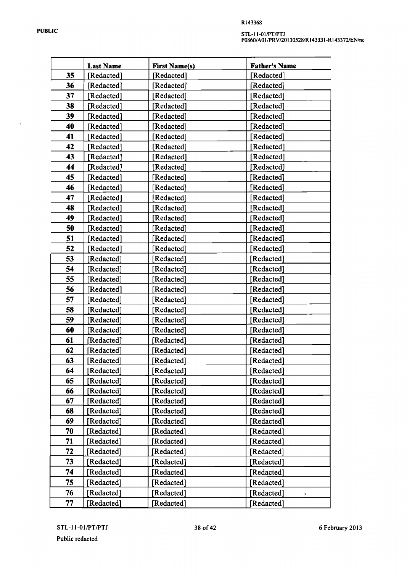$\hat{E}$ 

#### STL-ll-011PTIPTJ F08601 AO 1 IPRV/20 1 305281R14333 l-R 1 43372lEN/nc

|          | <b>Last Name</b>         | <b>First Name(s)</b>    | <b>Father's Name</b>    |
|----------|--------------------------|-------------------------|-------------------------|
| 35       | [Redacted]               | [Redacted]              | [Redacted]              |
| 36       | [Redacted]               | [Redacted]              | [Redacted]              |
| 37       | Redacted]                | [Redacted]              | [Redacted]              |
| 38       | Redacted]                | [Redacted]              | [Redacted]              |
| 39       | Redacted]                | [Redacted]              | [Redacted]              |
| 40       | Redacted]                | [Redacted]              | [Redacted]              |
| 41       | Redacted]                | [Redacted]              | [Redacted]              |
| 42       | Redacted]                | [Redacted]              | [Redacted]              |
| 43       | Redacted]                | [Redacted]              | [Redacted]              |
| 44       | [Redacted]               | [Redacted]              | [Redacted]              |
| 45       | Redacted]                | [Redacted]              | [Redacted]              |
| 46       | [Redacted]               | [Redacted]              | [Redacted]              |
| 47       | Redacted]                | [Redacted]              | [Redacted]              |
| 48       | Redacted]                | [Redacted]              | [Redacted]              |
| 49       | Redacted]                | [Redacted]              | [Redacted]              |
| 50       | Redacted]                | [Redacted]              | [Redacted]              |
| 51       | Redacted]                | [Redacted]              | [Redacted]              |
| 52       | Redacted]                | [Redacted]              | [Redacted]              |
| 53       | Redacted]                | [Redacted]              | [Redacted]              |
| 54       | [Redacted]               | [Redacted]              | [Redacted]              |
| 55       | Redacted]                | [Redacted]              | [Redacted]              |
| 56       | Redacted]                | [Redacted]              | [Redacted]              |
| 57       | [Redacted]               | [Redacted]              | [Redacted]              |
| 58       | [Redacted]               | [Redacted]              | [Redacted]              |
| 59       | [Redacted]               | [Redacted]              | [Redacted]              |
| 60       | [Redacted]               | [Redacted]              | [Redacted]              |
| 61       | Redacted]                | [Redacted]              | [Redacted]              |
| 62       | Redacted]                | [Redacted]              | [Redacted]              |
| 63       | Redacted]                | [Redacted]              | [Redacted]              |
| 64       | Redacted]                | [Redacted]              | Redacted]               |
| 65       | Redacted]                | [Redacted]              | [Redacted]              |
| 66       | [Redacted]               | [Redacted]              | [Redacted]              |
| 67       | Redacted]                | [Redacted]              | [Redacted]              |
| 68       | Redacted]                | [Redacted]              | [Redacted]              |
| 69<br>70 | Redacted]                | [Redacted]              | Redacted]               |
|          | [Redacted]               | [Redacted]              | [Redacted]              |
| 71<br>72 | [Redacted]<br>[Redacted] | Redacted]<br>Redacted]  | [Redacted]              |
| 73       | Redacted]                |                         | [Redacted]              |
| 74       | [Redacted]               | Redacted]<br>[Redacted] | Redacted]<br>[Redacted] |
| 75       | [Redacted]               | Redacted <sup>1</sup>   | Redacted]               |
| 76       |                          |                         |                         |
|          | [Redacted]               | [Redacted]              | [Redacted]              |
| 77       | [Redacted]               | [Redacted]              | [Redacted]              |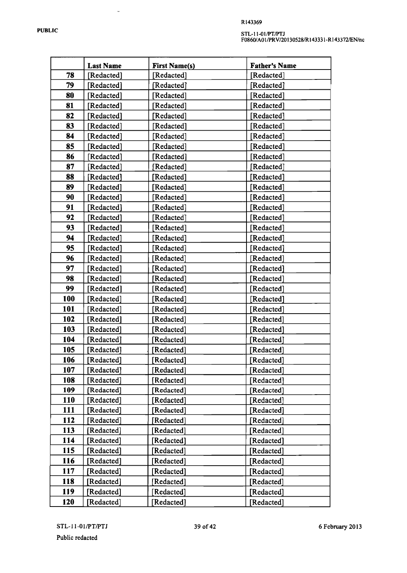$\mathbb{Z}$ 

#### STL-II-OI/PT/PTJ F0860/AOIIPRV/201305281R143331-R I 43372/EN/nc

|            | <b>Last Name</b>      | <b>First Name(s)</b> | <b>Father's Name</b>  |
|------------|-----------------------|----------------------|-----------------------|
| 78         | [Redacted]            | [Redacted]           | [Redacted]            |
| 79         | Redacted]             | [Redacted]           | [Redacted]            |
| 80         | Redacted]             | [Redacted]           | [Redacted]            |
| 81         | Redacted]             | [Redacted]           | [Redacted]            |
| 82         | Redacted]             | Redacted]            | [Redacted]            |
| 83         | Redacted]             | Redacted]            | [Redacted]            |
| 84         | Redacted]             | [Redacted]           | [Redacted]            |
| 85         | Redacted]             | [Redacted]           | [Redacted]            |
| 86         | [Redacted]            | [Redacted]           | [Redacted]            |
| 87         | Redacted]             | [Redacted]           | [Redacted]            |
| 88         | Redacted]             | [Redacted]           | [Redacted]            |
| 89         | Redacted              | [Redacted]           | [Redacted]            |
| 90         | Redacted]             | [Redacted]           | [Redacted]            |
| 91         | Redacted]             | [Redacted]           | [Redacted]            |
| 92         | [Redacted]            | [Redacted]           | [Redacted]            |
| 93         | [Redacted]            | [Redacted]           | [Redacted]            |
| 94         | [Redacted]            | [Redacted]           | [Redacted]            |
| 95         | Redacted]             | [Redacted]           | [Redacted]            |
| 96         | Redacted]             | Redacted]            | [Redacted]            |
| 97         | [Redacted]            | [Redacted]           | [Redacted]            |
| 98         | Redacted <sup>-</sup> | [Redacted]           | [Redacted]            |
| 99         | Redacted]             | Redacted]            | [Redacted]            |
| 100        | [Redacted]            | [Redacted]           | [Redacted]            |
| 101        | Redacted]             | [Redacted]           | [Redacted]            |
| 102        | [Redacted]            | [Redacted]           | [Redacted]            |
| 103        | Redacted]             | [Redacted]           | [Redacted]            |
| 104        | Redacted]             | [Redacted]           | [Redacted]            |
| 105        | Redacted]             | [Redacted]           | [Redacted]            |
| 106        | Redacted]             | [Redacted]           | [Redacted]            |
| 107        | Redacted]             | [Redacted]           | [Redacted]            |
| 108        | [Redacted]            | [Redacted]           | [Redacted]            |
| 109        | [Redacted]            | [Redacted]           | [Redacted]            |
| <b>110</b> | Redacted]             | [Redacted]           | [Redacted]            |
| 111        | [Redacted]            | [Redacted]           | [Redacted]            |
| 112        | Redacted]             | [Redacted]           | [Redacted]            |
| 113        | [Redacted]            | [Redacted]           | Redacted <sup>®</sup> |
| 114        | Redacted]             | [Redacted]           | Redacted]             |
| 115        | [Redacted]            | [Redacted]           | [Redacted]            |
| 116        | [Redacted]            | [Redacted]           | [Redacted]            |
| 117        | [Redacted]            | [Redacted]           | [Redacted]            |
| <b>118</b> | [Redacted]            | [Redacted]           | [Redacted]            |
| <b>119</b> | [Redacted]            | [Redacted]           | [Redacted]            |
| <b>120</b> | [Redacted]            | [Redacted]           | [Redacted]            |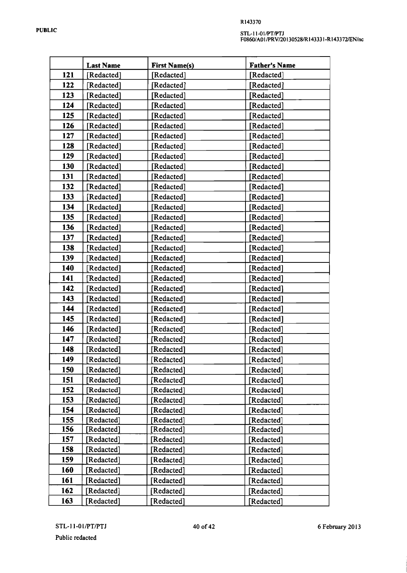# STL-TI-01/PT/PTJ<br>F0860/A01/PRV/20130528/R143331-R143372/EN/nc

|     | <b>Last Name</b> | <b>First Name(s)</b> | <b>Father's Name</b>  |
|-----|------------------|----------------------|-----------------------|
| 121 | [Redacted]       | [Redacted]           | [Redacted]            |
| 122 | [Redacted]       | [Redacted]           | [Redacted]            |
| 123 | [Redacted]       | [Redacted]           | [Redacted]            |
| 124 | Redacted]        | [Redacted]           | [Redacted]            |
| 125 | Redacted]        | [Redacted]           | [Redacted]            |
| 126 | Redacted]        | [Redacted]           | [Redacted]            |
| 127 | Redacted]        | [Redacted]           | [Redacted]            |
| 128 | Redacted]        | [Redacted]           | [Redacted]            |
| 129 | Redacted]        | [Redacted]           | [Redacted]            |
| 130 | Redacted]        | [Redacted]           | [Redacted]            |
| 131 | [Redacted]       | [Redacted]           | [Redacted]            |
| 132 | [Redacted]       | [Redacted]           | [Redacted]            |
| 133 | [Redacted]       | [Redacted]           | [Redacted]            |
| 134 | [Redacted]       | [Redacted]           | [Redacted]            |
| 135 | [Redacted]       | [Redacted]           | [Redacted]            |
| 136 | [Redacted]       | [Redacted]           | [Redacted]            |
| 137 | Redacted         | [Redacted]           | [Redacted]            |
| 138 | Redacted]        | [Redacted]           | [Redacted]            |
| 139 | Redacted]        | [Redacted]           | [Redacted]            |
| 140 | Redacted]        | [Redacted]           | [Redacted]            |
| 141 | Redacted]        | [Redacted]           | [Redacted]            |
| 142 | Redacted]        | [Redacted]           | [Redacted]            |
| 143 | [Redacted]       | [Redacted]           | [Redacted]            |
| 144 | Redacted]        | [Redacted]           | [Redacted]            |
| 145 | [Redacted]       | [Redacted]           | [Redacted]            |
| 146 | Redacted]        | [Redacted]           | [Redacted]            |
| 147 | [Redacted]       | [Redacted]           | [Redacted]            |
| 148 | [Redacted]       | [Redacted]           | [Redacted]            |
| 149 | [Redacted]       | [Redacted]           | [Redacted]            |
| 150 | Redacted]        | Redacted]            | Redacted]             |
| 151 | Redacted]        | Redacted]            | Redacted <sup>®</sup> |
| 152 | Redacted]        | Redacted]            | [Redacted]            |
| 153 | Redacted]        | Redacted]            | [Redacted]            |
| 154 | Redacted]        | Redacted]            | Redacted <sup>1</sup> |
| 155 | Redacted]        | Redacted]            | [Redacted]            |
| 156 | [Redacted]       | [Redacted]           | [Redacted]            |
| 157 | [Redacted]       | [Redacted]           | [Redacted]            |
| 158 | Redacted]        | Redacted]            | Redacted]             |
| 159 | Redacted]        | Redacted]            | Redacted]             |
| 160 | Redacted]        | Redacted]            | Redacted]             |
| 161 | Redacted]        | [Redacted]           | Redacted              |
| 162 | Redacted]        | Redacted]            | Redacted]             |
| 163 | Redacted]        | Redacted]            | Redacted]             |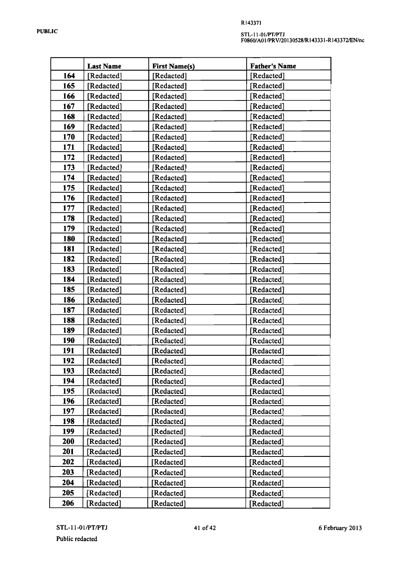#### STL-II-OIIPTIPTJ F0860/AOIIPRV/201305281R 143331-R I 43372/EN/nc

|            | <b>Last Name</b>      | <b>First Name(s)</b> | <b>Father's Name</b>  |
|------------|-----------------------|----------------------|-----------------------|
| 164        | Redacted]             | [Redacted]           | [Redacted]            |
| 165        | [Redacted]            | [Redacted]           | [Redacted]            |
| 166        | [Redacted]            | [Redacted]           | [Redacted]            |
| 167        | [Redacted]            | [Redacted]           | [Redacted]            |
| 168        | [Redacted]            | [Redacted]           | [Redacted]            |
| 169        | Redacted]             | [Redacted]           | [Redacted]            |
| 170        | [Redacted]            | [Redacted]           | [Redacted]            |
| 171        | Redacted <sup>-</sup> | [Redacted]           | [Redacted]            |
| 172        | Redacted]             | [Redacted]           | [Redacted]            |
| 173        | Redacted]             | [Redacted]           | [Redacted]            |
| 174        | [Redacted]            | [Redacted]           | [Redacted]            |
| 175        | [Redacted]            | [Redacted]           | [Redacted]            |
| 176        | [Redacted]            | [Redacted]           | [Redacted]            |
| 177        | [Redacted]            | [Redacted]           | [Redacted]            |
| 178        | [Redacted]            | [Redacted]           | [Redacted]            |
| 179        | [Redacted]            | [Redacted]           | [Redacted]            |
| <b>180</b> | Redacted]             | [Redacted]           | [Redacted]            |
| 181        | Redacted]             | [Redacted]           | [Redacted]            |
| 182        | [Redacted]            | [Redacted]           | [Redacted]            |
| 183        | [Redacted]            | [Redacted]           | [Redacted]            |
| 184        | [Redacted]            | [Redacted]           | [Redacted]            |
| 185        | [Redacted]            | [Redacted]           | [Redacted]            |
| 186        | Redacted]             | [Redacted]           | [Redacted]            |
| 187        | Redacted]             | [Redacted]           | [Redacted]            |
| 188        | Redacted]             | [Redacted]           | [Redacted]            |
| 189        | [Redacted]            | [Redacted]           | [Redacted]            |
| 190        | Redacted]             | [Redacted]           | [Redacted]            |
| 191        | Redacted]             | [Redacted]           | Redacted]             |
| 192        | [Redacted]            | [Redacted]           | [Redacted]            |
| 193        | Redacted]             | [Redacted]           | [Redacted]            |
| 194        | Redacted]             | [Redacted]           | [Redacted]            |
| 195        | [Redacted]            | [Redacted]           | [Redacted]            |
| 196        | Redacted]             | [Redacted]           | Redacted <sup>1</sup> |
| 197        | Redacted]             | [Redacted]           | [Redacted]            |
| 198        | Redacted]             | Redacted]            | [Redacted]            |
| 199        | [Redacted]            | [Redacted]           | [Redacted]            |
| <b>200</b> | Redacted]             | Redacted]            | [Redacted]            |
| 201        | [Redacted]            | [Redacted]           | Redacted]             |
| 202        | Redacted]             | Redacted]            | Redacted]             |
| 203        | [Redacted]            | [Redacted]           | Redacted]             |
| 204        | Redacted]             | Redacted]            | Redacted]             |
| 205        | [Redacted]            | [Redacted]           | [Redacted]            |
| 206        | [Redacted]            | [Redacted]           | [Redacted]            |